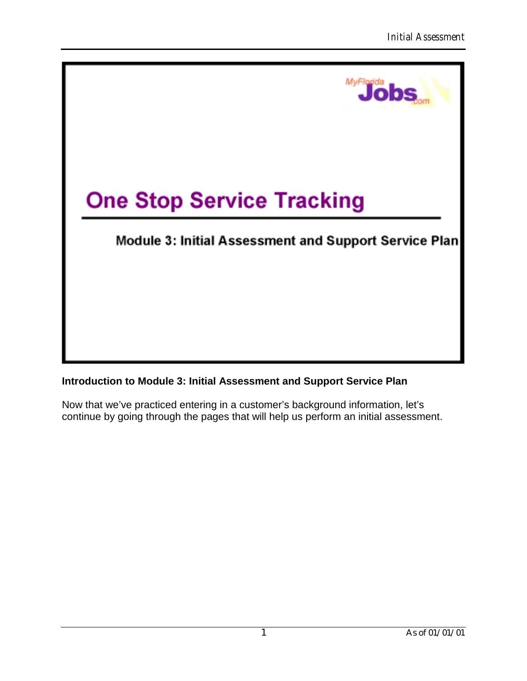

### **Introduction to Module 3: Initial Assessment and Support Service Plan**

Now that we've practiced entering in a customer's background information, let's continue by going through the pages that will help us perform an initial assessment.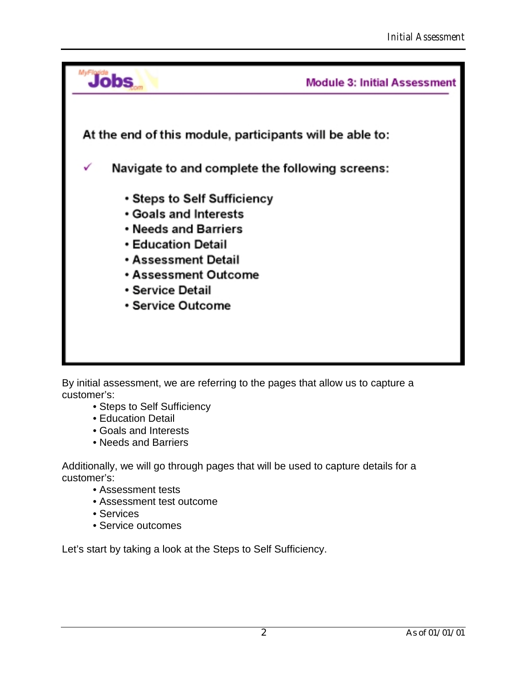

By initial assessment, we are referring to the pages that allow us to capture a customer's:

- •Steps to Self Sufficiency
- •Education Detail
- •Goals and Interests
- •Needs and Barriers

Additionally, we will go through pages that will be used to capture details for a customer's:

- •Assessment tests
- •Assessment test outcome
- •Services
- •Service outcomes

Let's start by taking a look at the Steps to Self Sufficiency.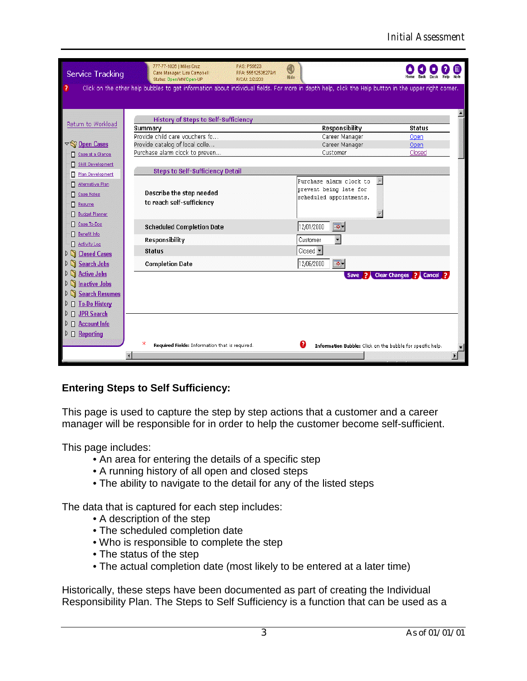| Service Tracking                   | 777-77-1026   Miles Cruz<br>Case Manager: Lisa Campbell<br>Status: Open/MN/Open-UP                                                                   | PAS: P55623<br>0<br>RFA: 55512536279/1<br>Hide<br>R/C/U: 2/2/203 |                                                            |                          |
|------------------------------------|------------------------------------------------------------------------------------------------------------------------------------------------------|------------------------------------------------------------------|------------------------------------------------------------|--------------------------|
| ?                                  | Click on the other help bubbles to get information about individual fields. For more in depth help, click the Help button in the upper right corner. |                                                                  |                                                            |                          |
|                                    |                                                                                                                                                      |                                                                  |                                                            |                          |
| Return to Workload                 | <b>History of Steps to Self-Sufficiency</b>                                                                                                          |                                                                  |                                                            |                          |
|                                    | Summary<br>Provide child care vouchers fo                                                                                                            |                                                                  | Responsibility                                             | <b>Status</b>            |
| $\nabla$ Open Cases                | Provide catalog of local colle                                                                                                                       |                                                                  | Career Manager<br>Career Manager                           | Open<br>Open             |
|                                    | Purchase alarm clock to preven                                                                                                                       |                                                                  | Customer                                                   | Closed                   |
| Case at a Glance                   |                                                                                                                                                      |                                                                  |                                                            |                          |
| Skill Development                  | <b>Steps to Self-Sufficiency Detail</b>                                                                                                              |                                                                  |                                                            |                          |
| Plan Development<br>Π              |                                                                                                                                                      |                                                                  | Purchase alarm clock to                                    |                          |
| Alternative Plan                   |                                                                                                                                                      |                                                                  | prevent being late for                                     |                          |
| <b>Case Notes</b><br>Π             | Describe the step needed                                                                                                                             |                                                                  | scheduled appointments.                                    |                          |
| E<br>Resume                        | to reach self-sufficiency                                                                                                                            |                                                                  |                                                            |                          |
| <b>Budget Planner</b>              |                                                                                                                                                      |                                                                  |                                                            |                          |
| Case To-Dos                        | <b>Scheduled Completion Date</b>                                                                                                                     |                                                                  | 12/01/2000<br>[ठ-                                          |                          |
| Benefit Info<br>п<br>Activity Log  | Responsibility                                                                                                                                       |                                                                  | $\overline{\phantom{a}}$<br>Customer                       |                          |
| п<br>Closed Cases<br>D             | <b>Status</b>                                                                                                                                        |                                                                  | Closed <sup>-</sup>                                        |                          |
| n<br><b>Search Jobs</b>            | <b>Completion Date</b>                                                                                                                               |                                                                  | "क -<br>12/06/2000                                         |                          |
| <b>Active Jobs</b><br>n<br>D       |                                                                                                                                                      |                                                                  | Save ?                                                     | Clear Changes ? Cancel ? |
| <b>D</b> Inactive Jobs             |                                                                                                                                                      |                                                                  |                                                            |                          |
| <b>Search Resumes</b><br>n<br>D    |                                                                                                                                                      |                                                                  |                                                            |                          |
| □ To-Do History                    |                                                                                                                                                      |                                                                  |                                                            |                          |
| <b>JPR</b> Search<br>П             |                                                                                                                                                      |                                                                  |                                                            |                          |
| □ Account Info<br>⊵                |                                                                                                                                                      |                                                                  |                                                            |                          |
|                                    |                                                                                                                                                      |                                                                  |                                                            |                          |
| $\triangleright \square$ Reporting |                                                                                                                                                      |                                                                  |                                                            |                          |
|                                    | ж<br>Required Fields: Information that is required.                                                                                                  | Ø                                                                | Information Bubble: Click on the bubble for specific help. |                          |
|                                    | Æ                                                                                                                                                    |                                                                  |                                                            |                          |

# **Entering Steps to Self Sufficiency:**

This page is used to capture the step by step actions that a customer and a career manager will be responsible for in order to help the customer become self-sufficient.

This page includes:

- •An area for entering the details of a specific step
- A running history of all open and closed steps
- •The ability to navigate to the detail for any of the listed steps

The data that is captured for each step includes:

- A description of the step
- •The scheduled completion date
- •Who is responsible to complete the step
- The status of the step
- •The actual completion date (most likely to be entered at a later time)

Historically, these steps have been documented as part of creating the Individual Responsibility Plan. The Steps to Self Sufficiency is a function that can be used as a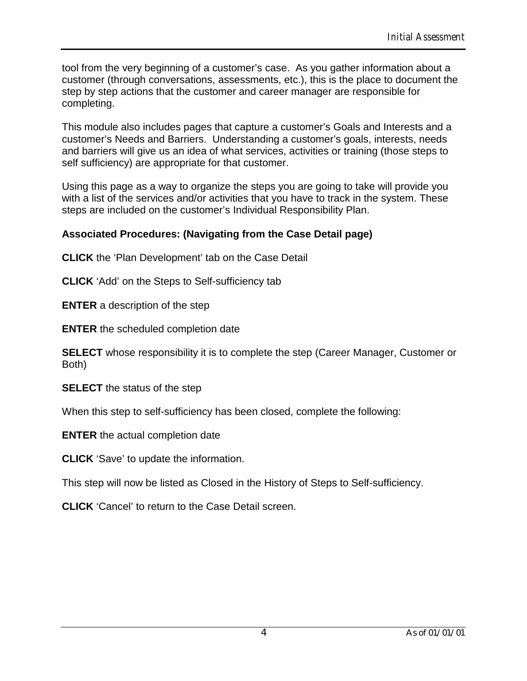tool from the very beginning of a customer's case. As you gather information about a customer (through conversations, assessments, etc.), this is the place to document the step by step actions that the customer and career manager are responsible for completing.

This module also includes pages that capture a customer's Goals and Interests and a customer's Needs and Barriers. Understanding a customer's goals, interests, needs and barriers will give us an idea of what services, activities or training (those steps to self sufficiency) are appropriate for that customer.

Using this page as a way to organize the steps you are going to take will provide you with a list of the services and/or activities that you have to track in the system. These steps are included on the customer's Individual Responsibility Plan.

### **Associated Procedures: (Navigating from the Case Detail page)**

**CLICK** the 'Plan Development' tab on the Case Detail

**CLICK** 'Add' on the Steps to Self-sufficiency tab

**ENTER** a description of the step

**ENTER** the scheduled completion date

**SELECT** whose responsibility it is to complete the step (Career Manager, Customer or Both)

**SELECT** the status of the step

When this step to self-sufficiency has been closed, complete the following:

**ENTER** the actual completion date

**CLICK** 'Save' to update the information.

This step will now be listed as Closed in the History of Steps to Self-sufficiency.

**CLICK** 'Cancel' to return to the Case Detail screen.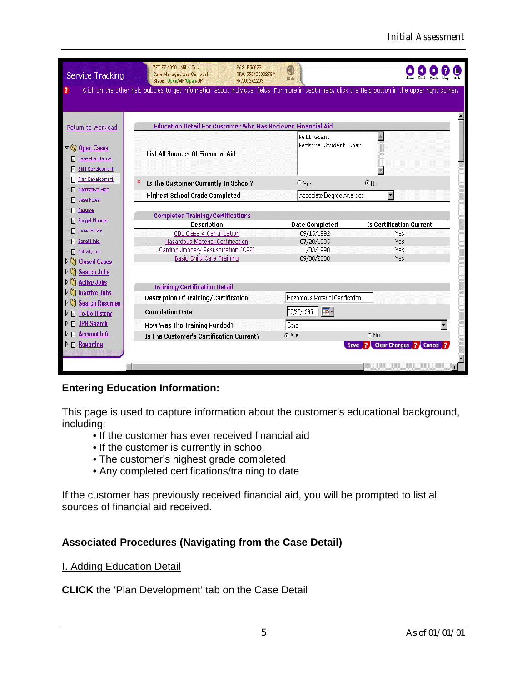| <b>Service Tracking</b>                                      | 777-77-1026   Miles Cruz<br>Case Manager: Lisa Campbell<br>Status: Open/MN/Open-UP                                                                   | PAS: P55623<br>0<br>RFA: 55512536279/1<br>Hide<br>R/C/U: 2/2/203    |                                                      |                                  |
|--------------------------------------------------------------|------------------------------------------------------------------------------------------------------------------------------------------------------|---------------------------------------------------------------------|------------------------------------------------------|----------------------------------|
| ?                                                            | Click on the other help bubbles to get information about individual fields. For more in depth help, click the Help button in the upper right corner. |                                                                     |                                                      |                                  |
|                                                              |                                                                                                                                                      |                                                                     |                                                      |                                  |
|                                                              |                                                                                                                                                      |                                                                     |                                                      |                                  |
| Return to Workload                                           |                                                                                                                                                      | <b>Education Detail For Customer Who Has Recieved Financial Aid</b> |                                                      |                                  |
| $\nabla \widehat{\mathbb{Q}}$ Open Cases<br>Case at a Glance | <b>List All Sources Of Financial Aid</b>                                                                                                             | Pell Grant                                                          | Perkins Student Loan                                 |                                  |
| <b>Skill Development</b>                                     |                                                                                                                                                      |                                                                     |                                                      |                                  |
| Plan Development                                             | Is The Customer Currently In School?                                                                                                                 | $O$ Yes                                                             | $G$ No                                               |                                  |
| Alternative Plan                                             | <b>Highest School Grade Completed</b>                                                                                                                |                                                                     | $\overline{\phantom{a}}$<br>Associate Degree Awarded |                                  |
| <b>Case Notes</b>                                            |                                                                                                                                                      |                                                                     |                                                      |                                  |
| Resume                                                       | <b>Completed Training/Certifications</b>                                                                                                             |                                                                     |                                                      |                                  |
| <b>Budget Planner</b>                                        | Description                                                                                                                                          | <b>Date Completed</b>                                               |                                                      | <b>Is Certification Current</b>  |
| Case To-Dos                                                  | CDL Class A Ceritification                                                                                                                           | 09/15/1992                                                          |                                                      | Yes                              |
| Benefit Info                                                 | <b>Hazardous Material Certification</b>                                                                                                              | 07/20/1995                                                          |                                                      | Yes                              |
| Activity Log                                                 | Cardiopulmonary Resuscitation (CPR)                                                                                                                  | 11/03/1998                                                          |                                                      | Yes                              |
| <b>Closed Cases</b><br>$\triangleright$ (                    | Basic Child Care Training                                                                                                                            | 09/30/2000                                                          |                                                      | Yes                              |
| <b>Search Jobs</b><br>ÞΝ                                     |                                                                                                                                                      |                                                                     |                                                      |                                  |
| <b>Active Jobs</b><br>ÞΠ                                     |                                                                                                                                                      |                                                                     |                                                      |                                  |
| <b>Inactive Jobs</b><br>ÞΠ                                   | <b>Training/Certification Detail</b>                                                                                                                 |                                                                     |                                                      |                                  |
| <b>Search Resumes</b>                                        | Description Of Training/Certification                                                                                                                | Hazardous Material Certification                                    |                                                      |                                  |
| $\triangleright$ $\Box$ To-Do History                        | <b>Completion Date</b>                                                                                                                               | 07/20/1995                                                          | $\overline{\circ}$ .                                 |                                  |
| <b>JPR Search</b><br>п                                       | How Was The Training Funded?                                                                                                                         | Other                                                               |                                                      |                                  |
| <b>Account Info</b><br>П.                                    | Is The Customer's Certification Current?                                                                                                             | G Yes                                                               | $\cap$ No                                            |                                  |
| $\triangleright$ $\Box$ Reporting                            |                                                                                                                                                      |                                                                     | Ð<br><b>Save</b>                                     | Clear Changes ?<br><b>Cancel</b> |
|                                                              |                                                                                                                                                      |                                                                     |                                                      |                                  |
|                                                              |                                                                                                                                                      |                                                                     |                                                      |                                  |
|                                                              |                                                                                                                                                      |                                                                     |                                                      |                                  |

### **Entering Education Information:**

This page is used to capture information about the customer's educational background, including:

- •If the customer has ever received financial aid
- If the customer is currently in school
- •The customer's highest grade completed
- •Any completed certifications/training to date

If the customer has previously received financial aid, you will be prompted to list all sources of financial aid received.

### **Associated Procedures (Navigating from the Case Detail)**

**I. Adding Education Detail** 

**CLICK** the 'Plan Development' tab on the Case Detail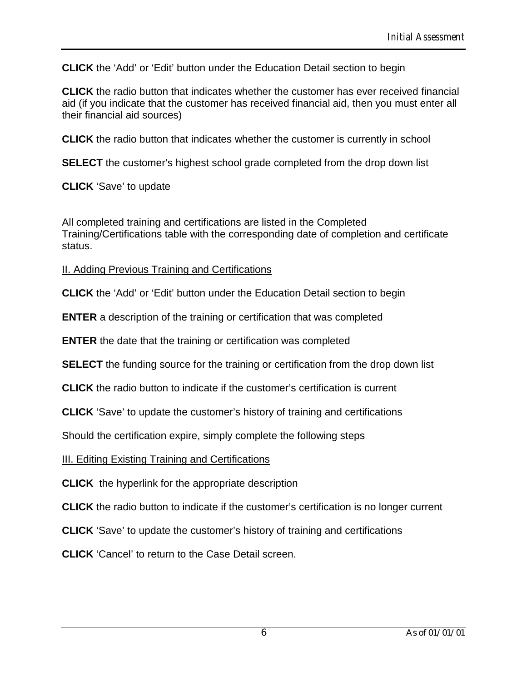**CLICK** the 'Add' or 'Edit' button under the Education Detail section to begin

**CLICK** the radio button that indicates whether the customer has ever received financial aid (if you indicate that the customer has received financial aid, then you must enter all their financial aid sources)

**CLICK** the radio button that indicates whether the customer is currently in school

**SELECT** the customer's highest school grade completed from the drop down list

**CLICK** 'Save' to update

All completed training and certifications are listed in the Completed Training/Certifications table with the corresponding date of completion and certificate status.

### II. Adding Previous Training and Certifications

**CLICK** the 'Add' or 'Edit' button under the Education Detail section to begin

**ENTER** a description of the training or certification that was completed

**ENTER** the date that the training or certification was completed

**SELECT** the funding source for the training or certification from the drop down list

**CLICK** the radio button to indicate if the customer's certification is current

**CLICK** 'Save' to update the customer's history of training and certifications

Should the certification expire, simply complete the following steps

III. Editing Existing Training and Certifications

**CLICK** the hyperlink for the appropriate description

**CLICK** the radio button to indicate if the customer's certification is no longer current

**CLICK** 'Save' to update the customer's history of training and certifications

**CLICK** 'Cancel' to return to the Case Detail screen.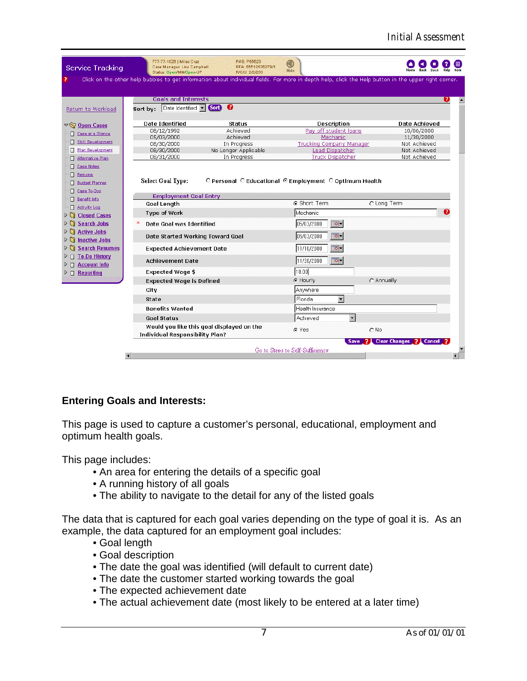|                                                                                                                    | Case Manager: Lisa Campbell<br>Status: Open/MN/Open-UP                  | RFA: 55512536279/1<br>R/C/U: 2/2/203 | Hide<br>Click on the other help bubbles to get information about individual fields. For more in depth help, click the Help button in the upper right corner. |               |
|--------------------------------------------------------------------------------------------------------------------|-------------------------------------------------------------------------|--------------------------------------|--------------------------------------------------------------------------------------------------------------------------------------------------------------|---------------|
|                                                                                                                    | <b>Goals and Interests</b>                                              |                                      |                                                                                                                                                              |               |
| Return to Workload                                                                                                 | Date Identified  <br>Sort by:                                           | ❸<br>(Sort)                          |                                                                                                                                                              |               |
| $\triangledown$ Open Cases                                                                                         | <b>Date Identified</b>                                                  | Status                               | <b>Description</b>                                                                                                                                           | Date Achieved |
| Case at a Glance                                                                                                   | 08/12/1992                                                              | Achieved                             | Pay off student loans                                                                                                                                        | 10/06/2000    |
|                                                                                                                    | 05/03/2000                                                              | Achieved                             | Mechanic                                                                                                                                                     | 11/30/2000    |
| Skill Development                                                                                                  | 08/30/2000                                                              | In Progress                          | <b>Trucking Company Manager</b>                                                                                                                              | Not Achieved  |
| Plan Development                                                                                                   | 08/30/2000                                                              | No Longer Applicable                 | Lead Dispatcher                                                                                                                                              | Not Achieved  |
| Alternative Plan                                                                                                   | 08/31/2000                                                              | In Progress                          | <b>Truck Dispatcher</b>                                                                                                                                      | Not Achieved  |
| <b>Budget Planner</b><br>П.<br><b>El Case To-Dos</b><br><b>El</b> Benefit Info                                     | Select Goal Type:<br><b>Employment Goal Entry</b><br><b>Goal Length</b> |                                      | O Personal O Educational © Employment O Optimum Health<br><b>6</b> Short Term                                                                                | C Long Term   |
| Activity Log                                                                                                       |                                                                         |                                      |                                                                                                                                                              |               |
| $\mathcal{D}$<br><b>Closed Cases</b>                                                                               | Type of Work                                                            |                                      | Mechanic                                                                                                                                                     |               |
| ÞΠ<br><b>Search Jobs</b>                                                                                           | Date Goal was Identified                                                |                                      | ত-<br>05/03/2000                                                                                                                                             |               |
| <b>Active Jobs</b><br>D SI<br><b>Inactive Jobs</b><br>D CI.                                                        | Date Started Working Toward Goal                                        |                                      | 05/03/2000<br>$\boxed{\circ}$                                                                                                                                |               |
|                                                                                                                    | <b>Expected Achievement Date</b>                                        |                                      | 11/10/2000<br>ত-                                                                                                                                             |               |
| <b>Search Resumes</b>                                                                                              |                                                                         |                                      |                                                                                                                                                              |               |
|                                                                                                                    | <b>Achievement Date</b>                                                 |                                      | $\boxed{\circ}$<br>11/30/2000                                                                                                                                |               |
|                                                                                                                    | <b>Expected Wage \$</b>                                                 |                                      | 10.00                                                                                                                                                        |               |
|                                                                                                                    | <b>Expected Wage is Defined</b>                                         |                                      | C Hourly                                                                                                                                                     | C Annually    |
|                                                                                                                    | City                                                                    |                                      | Anywhere                                                                                                                                                     |               |
|                                                                                                                    | <b>State</b>                                                            |                                      | $\blacktriangledown$<br>Florida                                                                                                                              |               |
| $\triangleright$ $\Box$ To-Do History<br>$\triangleright$ $\Box$ Account Info<br>$\triangleright$ $\Box$ Reporting | <b>Benefits Wanted</b>                                                  |                                      | Health Insurance                                                                                                                                             |               |
|                                                                                                                    | <b>Goal Status</b>                                                      |                                      | Achieved                                                                                                                                                     |               |

# **Entering Goals and Interests:**

This page is used to capture a customer's personal, educational, employment and optimum health goals.

This page includes:

- •An area for entering the details of a specific goal
- A running history of all goals
- •The ability to navigate to the detail for any of the listed goals

The data that is captured for each goal varies depending on the type of goal it is. As an example, the data captured for an employment goal includes:

- Goal length
- •Goal description
- •The date the goal was identified (will default to current date)
- •The date the customer started working towards the goal
- •The expected achievement date
- •The actual achievement date (most likely to be entered at a later time)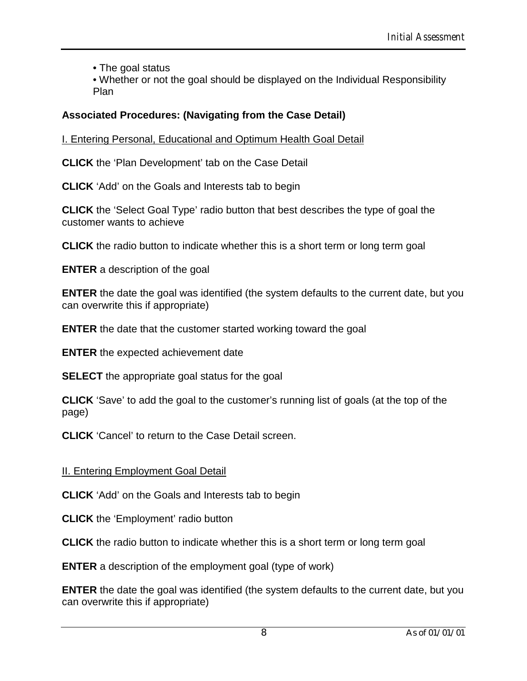• The goal status

•Whether or not the goal should be displayed on the Individual Responsibility Plan

## **Associated Procedures: (Navigating from the Case Detail)**

I. Entering Personal, Educational and Optimum Health Goal Detail

**CLICK** the 'Plan Development' tab on the Case Detail

**CLICK** 'Add' on the Goals and Interests tab to begin

**CLICK** the 'Select Goal Type' radio button that best describes the type of goal the customer wants to achieve

**CLICK** the radio button to indicate whether this is a short term or long term goal

**ENTER** a description of the goal

**ENTER** the date the goal was identified (the system defaults to the current date, but you can overwrite this if appropriate)

**ENTER** the date that the customer started working toward the goal

**ENTER** the expected achievement date

**SELECT** the appropriate goal status for the goal

**CLICK** 'Save' to add the goal to the customer's running list of goals (at the top of the page)

**CLICK** 'Cancel' to return to the Case Detail screen.

### II. Entering Employment Goal Detail

**CLICK** 'Add' on the Goals and Interests tab to begin

**CLICK** the 'Employment' radio button

**CLICK** the radio button to indicate whether this is a short term or long term goal

**ENTER** a description of the employment goal (type of work)

**ENTER** the date the goal was identified (the system defaults to the current date, but you can overwrite this if appropriate)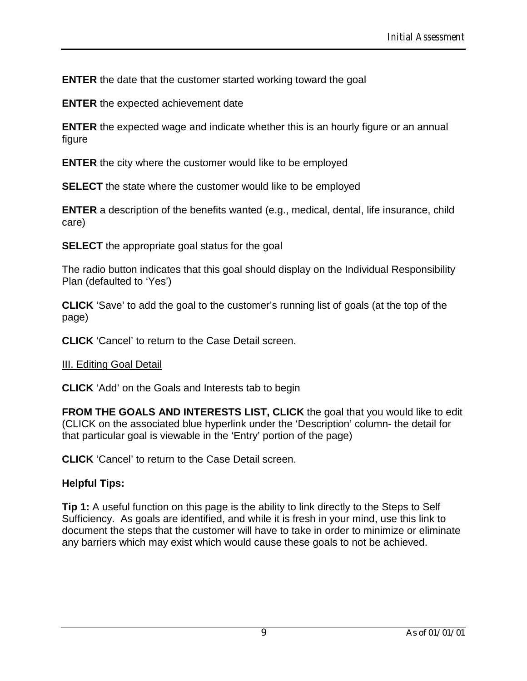**ENTER** the date that the customer started working toward the goal

**ENTER** the expected achievement date

**ENTER** the expected wage and indicate whether this is an hourly figure or an annual figure

**ENTER** the city where the customer would like to be employed

**SELECT** the state where the customer would like to be employed

**ENTER** a description of the benefits wanted (e.g., medical, dental, life insurance, child care)

**SELECT** the appropriate goal status for the goal

The radio button indicates that this goal should display on the Individual Responsibility Plan (defaulted to 'Yes')

**CLICK** 'Save' to add the goal to the customer's running list of goals (at the top of the page)

**CLICK** 'Cancel' to return to the Case Detail screen.

#### III. Editing Goal Detail

**CLICK** 'Add' on the Goals and Interests tab to begin

**FROM THE GOALS AND INTERESTS LIST, CLICK** the goal that you would like to edit (CLICK on the associated blue hyperlink under the 'Description' column- the detail for that particular goal is viewable in the 'Entry' portion of the page)

**CLICK** 'Cancel' to return to the Case Detail screen.

### **Helpful Tips:**

**Tip 1:** A useful function on this page is the ability to link directly to the Steps to Self Sufficiency. As goals are identified, and while it is fresh in your mind, use this link to document the steps that the customer will have to take in order to minimize or eliminate any barriers which may exist which would cause these goals to not be achieved.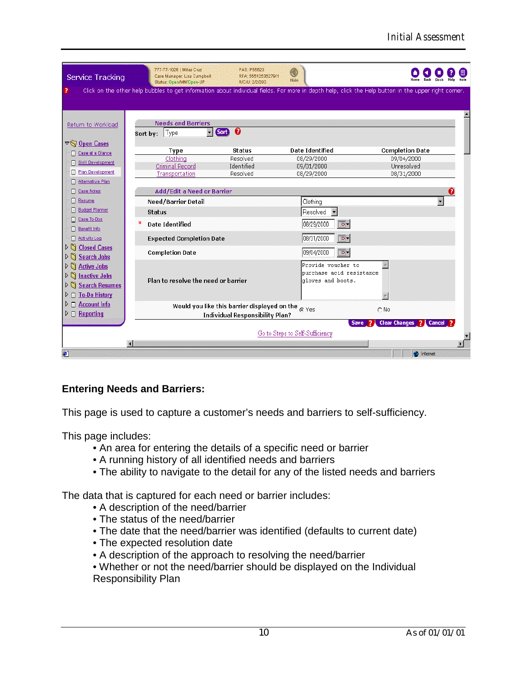| Service Tracking                                                                                | 777-77-1026   Miles Cruz<br>Case Manager: Lisa Campbell<br>Status: Open/MN/Open-UP | PAS: P55623<br>RFA: 55512536279/1<br>R/C/U: 2/2/203 | O<br>Hide                       |                                                                                                                                                      |
|-------------------------------------------------------------------------------------------------|------------------------------------------------------------------------------------|-----------------------------------------------------|---------------------------------|------------------------------------------------------------------------------------------------------------------------------------------------------|
|                                                                                                 |                                                                                    |                                                     |                                 | Click on the other help bubbles to get information about individual fields. For more in depth help, click the Help button in the upper right corner. |
|                                                                                                 |                                                                                    |                                                     |                                 |                                                                                                                                                      |
| Return to Workload                                                                              | <b>Needs and Barriers</b>                                                          |                                                     |                                 |                                                                                                                                                      |
|                                                                                                 | Type<br>Sort by:                                                                   | €<br><b>Sort</b>                                    |                                 |                                                                                                                                                      |
| $\nabla \left( \nabla \right)$ Open Cases                                                       | Type                                                                               | <b>Status</b>                                       | <b>Date Identified</b>          | <b>Completion Date</b>                                                                                                                               |
| Case at a Glance                                                                                | Clothing                                                                           | Resolved                                            | 08/29/2000                      | 09/04/2000                                                                                                                                           |
| Skill Development                                                                               | Criminal Record                                                                    | Identified                                          | 09/01/2000                      | Unresolved                                                                                                                                           |
| Plan Development                                                                                | Transportation                                                                     | Resolved                                            | 08/29/2000                      | 08/31/2000                                                                                                                                           |
| Alternative Plan                                                                                |                                                                                    |                                                     |                                 |                                                                                                                                                      |
| Case Notes                                                                                      | Add/Edit a Need or Barrier                                                         |                                                     |                                 |                                                                                                                                                      |
| Resume<br><b>Budget Planner</b>                                                                 | Need/Barrier Detail                                                                |                                                     | Clothing                        |                                                                                                                                                      |
| <b>El Case To-Dos</b>                                                                           | <b>Status</b>                                                                      |                                                     | Resolved                        |                                                                                                                                                      |
| Benefit Info                                                                                    | <b>Date Identified</b>                                                             |                                                     | 08/29/2000<br>ত-                |                                                                                                                                                      |
| Activity Log                                                                                    | <b>Expected Completion Date</b>                                                    |                                                     | ত-<br>08/31/2000                |                                                                                                                                                      |
| <b>D Closed Cases</b>                                                                           | <b>Completion Date</b>                                                             |                                                     | ত-<br>09/04/2000                |                                                                                                                                                      |
| $\triangleright$ 5<br><b>Search Jobs</b><br>$\triangleright$ $\mathbb{S}$<br><b>Active Jobs</b> |                                                                                    |                                                     | Provide voucher to              |                                                                                                                                                      |
| $\triangleright$ $\Box$<br><b>Inactive Jobs</b>                                                 |                                                                                    |                                                     | purchase acid resistance        |                                                                                                                                                      |
| <b>Search Resumes</b><br>$\triangleright$ n                                                     | Plan to resolve the need or barrier                                                |                                                     | gloves and boots.               |                                                                                                                                                      |
| <b>To-Do History</b><br>$\triangleright$ $\square$                                              |                                                                                    |                                                     |                                 |                                                                                                                                                      |
| $\triangleright$ $\Box$ Account Info                                                            |                                                                                    |                                                     |                                 |                                                                                                                                                      |
| $\triangleright$ $\Box$ Reporting                                                               |                                                                                    | Would you like this barrier displayed on the        | <b>G</b> Yes                    | $\cap$ No                                                                                                                                            |
|                                                                                                 |                                                                                    | <b>Individual Responsibility Plan?</b>              | Save                            | <b>Clear Changes</b> ?<br>Cancel                                                                                                                     |
|                                                                                                 |                                                                                    |                                                     | Go to Steps to Self-Sufficiency |                                                                                                                                                      |
|                                                                                                 |                                                                                    |                                                     |                                 |                                                                                                                                                      |
|                                                                                                 |                                                                                    |                                                     |                                 | <b>O</b> Internet                                                                                                                                    |

### **Entering Needs and Barriers:**

This page is used to capture a customer's needs and barriers to self-sufficiency.

This page includes:

- •An area for entering the details of a specific need or barrier
- A running history of all identified needs and barriers
- •The ability to navigate to the detail for any of the listed needs and barriers

The data that is captured for each need or barrier includes:

- A description of the need/barrier
- •The status of the need/barrier
- •The date that the need/barrier was identified (defaults to current date)
- •The expected resolution date
- •A description of the approach to resolving the need/barrier
- •Whether or not the need/barrier should be displayed on the Individual Responsibility Plan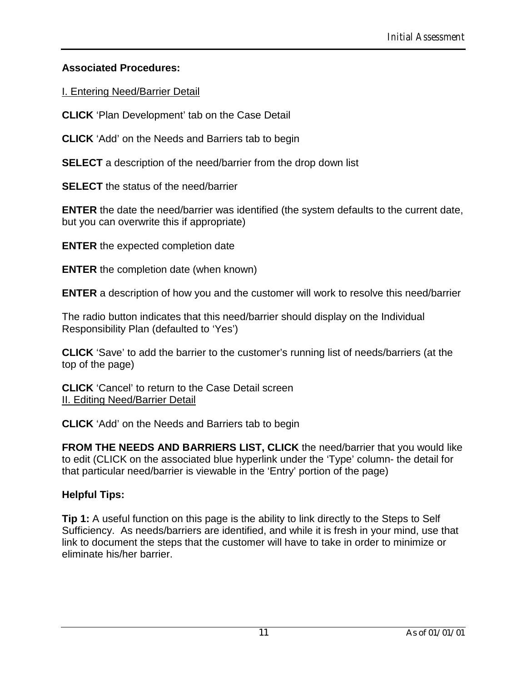### **Associated Procedures:**

I. Entering Need/Barrier Detail

**CLICK** 'Plan Development' tab on the Case Detail

**CLICK** 'Add' on the Needs and Barriers tab to begin

**SELECT** a description of the need/barrier from the drop down list

**SELECT** the status of the need/barrier

**ENTER** the date the need/barrier was identified (the system defaults to the current date, but you can overwrite this if appropriate)

**ENTER** the expected completion date

**ENTER** the completion date (when known)

**ENTER** a description of how you and the customer will work to resolve this need/barrier

The radio button indicates that this need/barrier should display on the Individual Responsibility Plan (defaulted to 'Yes')

**CLICK** 'Save' to add the barrier to the customer's running list of needs/barriers (at the top of the page)

**CLICK** 'Cancel' to return to the Case Detail screen II. Editing Need/Barrier Detail

**CLICK** 'Add' on the Needs and Barriers tab to begin

**FROM THE NEEDS AND BARRIERS LIST, CLICK** the need/barrier that you would like to edit (CLICK on the associated blue hyperlink under the 'Type' column- the detail for that particular need/barrier is viewable in the 'Entry' portion of the page)

# **Helpful Tips:**

**Tip 1:** A useful function on this page is the ability to link directly to the Steps to Self Sufficiency. As needs/barriers are identified, and while it is fresh in your mind, use that link to document the steps that the customer will have to take in order to minimize or eliminate his/her barrier.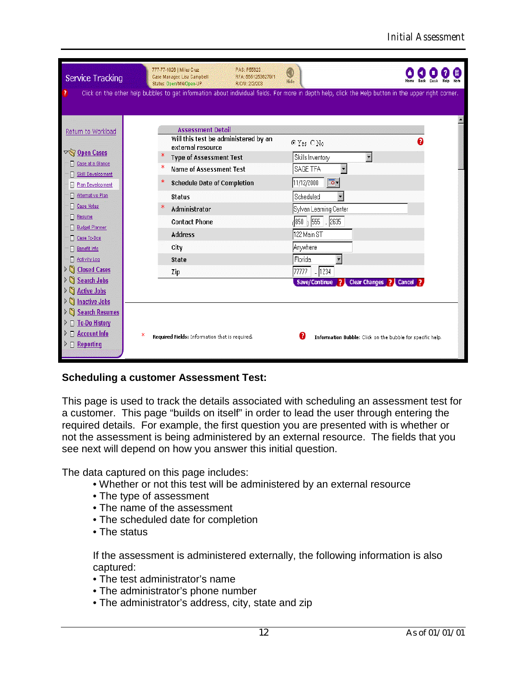| <b>Service Tracking</b>                    | 777-77-1026   Miles Cruz<br>Case Manager: Lisa Campbell<br>Status: Open/MN/Open-UP                                                                   | PAS: P55623<br>a<br>RFA: 55512536279/1<br>Hide<br>R/C/U: 2/2/203 |                                                            |  |
|--------------------------------------------|------------------------------------------------------------------------------------------------------------------------------------------------------|------------------------------------------------------------------|------------------------------------------------------------|--|
|                                            | Click on the other help bubbles to get information about individual fields. For more in depth help, click the Help button in the upper right corner. |                                                                  |                                                            |  |
|                                            |                                                                                                                                                      |                                                                  |                                                            |  |
|                                            | <b>Assessment Detail</b>                                                                                                                             |                                                                  |                                                            |  |
| Return to Workload                         | Will this test be administered by an<br>external resource                                                                                            | C Yes ONo                                                        |                                                            |  |
| $\nabla$ Open Cases                        | <b>Type of Assessment Test</b>                                                                                                                       | Skills Inventory                                                 | $\overline{\phantom{a}}$                                   |  |
| Case at a Glance<br>П<br>Skill Development | <b>Name of Assessment Test</b>                                                                                                                       | SAGE TFA                                                         |                                                            |  |
| Plan Development<br>П                      | <b>Schedule Date of Completion</b>                                                                                                                   | 11/12/2000                                                       | ⋑न                                                         |  |
| Π<br>Alternative Plan                      | <b>Status</b>                                                                                                                                        | Scheduled                                                        | $\overline{\phantom{a}}$                                   |  |
| п<br><b>Case Notes</b>                     | Administrator                                                                                                                                        |                                                                  | Sylvan Learning Center                                     |  |
| Π<br>Resume                                | <b>Contact Phone</b>                                                                                                                                 |                                                                  | $\sqrt{850}$ $\sqrt{555}$ $\sqrt{2635}$                    |  |
| <b>Budget Planner</b><br>Π                 | <b>Address</b>                                                                                                                                       | 122 Main ST                                                      |                                                            |  |
| Case To-Dos                                | City                                                                                                                                                 | <b>Anywhere</b>                                                  |                                                            |  |
| Π<br>Benefit Info                          |                                                                                                                                                      |                                                                  |                                                            |  |
| п<br>Activity Log<br><b>Closed Cases</b>   | <b>State</b>                                                                                                                                         | Florida                                                          |                                                            |  |
| <b>Search Jobs</b>                         | Zip                                                                                                                                                  | 77777                                                            | $-1234$                                                    |  |
| <b>Active Jobs</b>                         |                                                                                                                                                      |                                                                  | Save/Continue ? Clear Changes ? Cancel ?                   |  |
| <b>Inactive Jobs</b>                       |                                                                                                                                                      |                                                                  |                                                            |  |
| <b>Search Resumes</b>                      |                                                                                                                                                      |                                                                  |                                                            |  |
| <b>To-Do History</b>                       |                                                                                                                                                      |                                                                  |                                                            |  |
| <b>Account Info</b><br>⊓                   | Ж<br>Required Fields: Information that is required.                                                                                                  |                                                                  | Information Bubble: Click on the bubble for specific help. |  |
| Reporting<br>$\Box$                        |                                                                                                                                                      |                                                                  |                                                            |  |

### **Scheduling a customer Assessment Test:**

This page is used to track the details associated with scheduling an assessment test for a customer. This page "builds on itself" in order to lead the user through entering the required details. For example, the first question you are presented with is whether or not the assessment is being administered by an external resource. The fields that you see next will depend on how you answer this initial question.

The data captured on this page includes:

- Whether or not this test will be administered by an external resource
- •The type of assessment
- •The name of the assessment
- •The scheduled date for completion
- The status

If the assessment is administered externally, the following information is also captured:

- •The test administrator's name
- •The administrator's phone number
- •The administrator's address, city, state and zip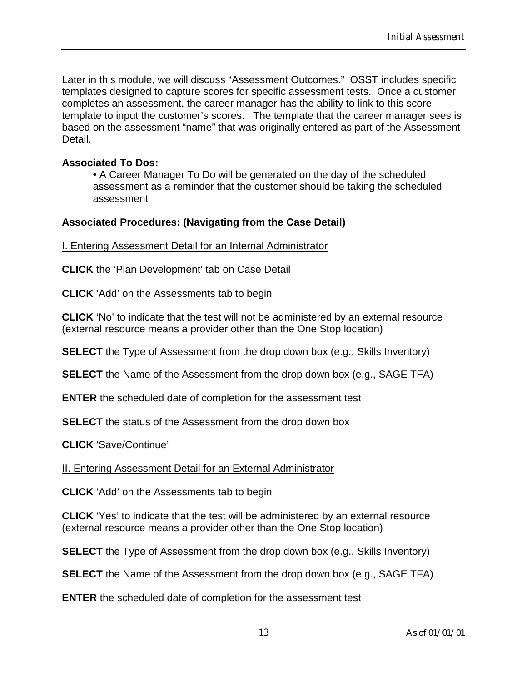Later in this module, we will discuss "Assessment Outcomes." OSST includes specific templates designed to capture scores for specific assessment tests. Once a customer completes an assessment, the career manager has the ability to link to this score template to input the customer's scores. The template that the career manager sees is based on the assessment "name" that was originally entered as part of the Assessment Detail.

### **Associated To Dos:**

•A Career Manager To Do will be generated on the day of the scheduled assessment as a reminder that the customer should be taking the scheduled assessment

### **Associated Procedures: (Navigating from the Case Detail)**

I. Entering Assessment Detail for an Internal Administrator

**CLICK** the 'Plan Development' tab on Case Detail

**CLICK** 'Add' on the Assessments tab to begin

**CLICK** 'No' to indicate that the test will not be administered by an external resource (external resource means a provider other than the One Stop location)

**SELECT** the Type of Assessment from the drop down box (e.g., Skills Inventory)

**SELECT** the Name of the Assessment from the drop down box (e.g., SAGE TFA)

**ENTER** the scheduled date of completion for the assessment test

**SELECT** the status of the Assessment from the drop down box

**CLICK** 'Save/Continue'

II. Entering Assessment Detail for an External Administrator

**CLICK** 'Add' on the Assessments tab to begin

**CLICK** 'Yes' to indicate that the test will be administered by an external resource (external resource means a provider other than the One Stop location)

**SELECT** the Type of Assessment from the drop down box (e.g., Skills Inventory)

**SELECT** the Name of the Assessment from the drop down box (e.g., SAGE TFA)

**ENTER** the scheduled date of completion for the assessment test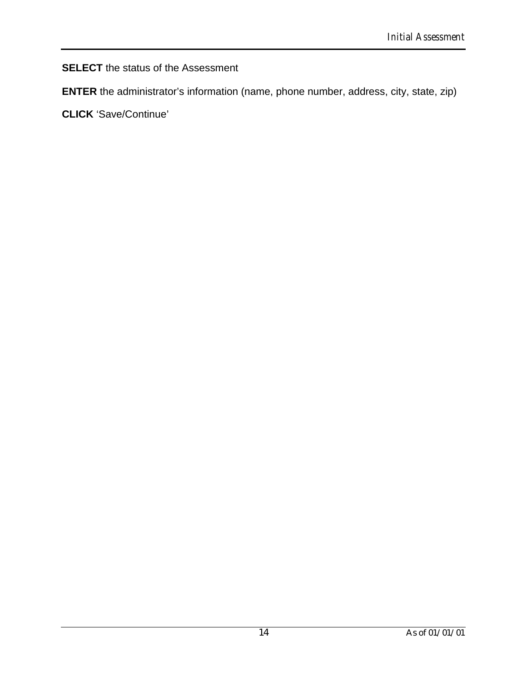## **SELECT** the status of the Assessment

**ENTER** the administrator's information (name, phone number, address, city, state, zip)

**CLICK** 'Save/Continue'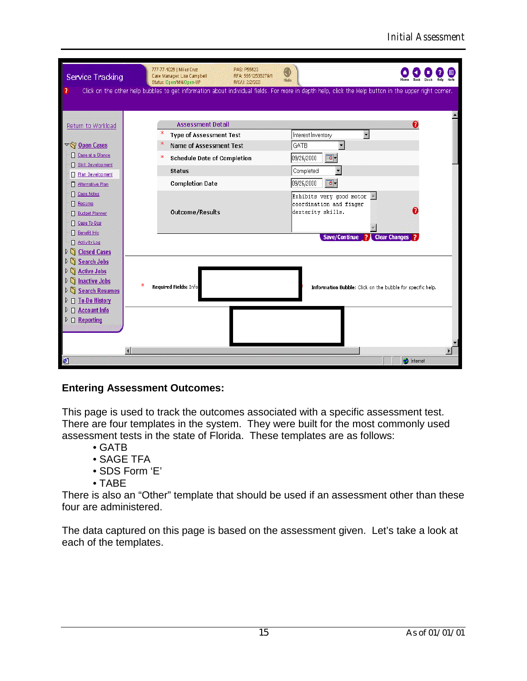| Service Tracking<br>?                                                                                                                | 777-77-1026   Miles Cruz<br>PAS: P55623<br>Case Manager: Lisa Campbell<br>RFA: 55512536279/1<br>Status: Open/MN/Open-UP<br>R/C/U: 2/2/203 | a<br>Hide<br>Click on the other help bubbles to get information about individual fields. For more in depth help, click the Help button in the upper right corner. |
|--------------------------------------------------------------------------------------------------------------------------------------|-------------------------------------------------------------------------------------------------------------------------------------------|-------------------------------------------------------------------------------------------------------------------------------------------------------------------|
| Return to Workload                                                                                                                   | <b>Assessment Detail</b><br><b>Type of Assessment Test</b>                                                                                | Q<br>$\overline{\phantom{a}}$<br>Interest Inventory                                                                                                               |
| $\nabla \bigotimes$ Open Cases<br>Case at a Glance<br>Π<br>Skill Development<br>Π<br><b>Plan Development</b><br>Π                    | <b>Name of Assessment Test</b><br><b>Schedule Date of Completion</b><br><b>Status</b>                                                     | GATB<br>٠<br>$\overline{\circ}$ -<br>09/26/2000<br>Completed                                                                                                      |
| Alternative Plan<br><b>Case Notes</b><br>Resume<br>H<br><b>Budget Planner</b><br>Case To-Dos                                         | <b>Completion Date</b><br>Outcome/Results                                                                                                 | $\overline{\circ}$ -<br>09/26/2000<br>Exhibits very good motor<br>coordination and finger<br>dexterity skills.                                                    |
| Benefit Info<br>п<br>Activity Log<br><b>Closed Cases</b><br>⊵<br>$\frac{1}{2}$<br><b>Search Jobs</b><br>n<br><b>Active Jobs</b><br>▷ |                                                                                                                                           | Save/Continue ?<br><b>Clear Changes</b>                                                                                                                           |
| ▷<br><b>Inactive Jobs</b><br><b>Search Resumes</b><br>D.<br><b>To-Do History</b><br>D.<br>п                                          | ж<br>Required Fields: Info                                                                                                                | Information Bubble: Click on the bubble for specific help.                                                                                                        |
| $\Box$ Account Info<br>⊵<br>$\triangleright$ $\Box$ Reporting                                                                        |                                                                                                                                           |                                                                                                                                                                   |
| €                                                                                                                                    | $\overline{4}$                                                                                                                            | <b>O</b> Internet                                                                                                                                                 |

### **Entering Assessment Outcomes:**

This page is used to track the outcomes associated with a specific assessment test. There are four templates in the system. They were built for the most commonly used assessment tests in the state of Florida. These templates are as follows:

- •GATB
- •SAGE TFA
- •SDS Form 'E'
- •TABE

There is also an "Other" template that should be used if an assessment other than these four are administered.

The data captured on this page is based on the assessment given. Let's take a look at each of the templates.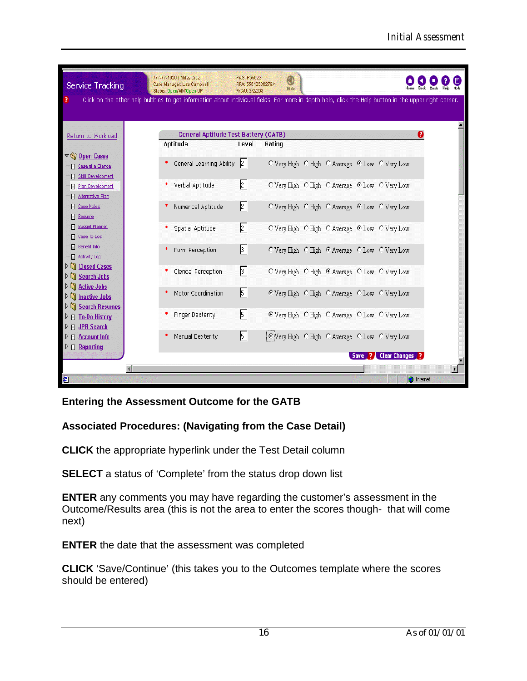| Service Tracking                                                                 | 777-77-1026   Miles Cruz<br>PAS: P55623<br>◉<br>Case Manager: Lisa Campbell<br>RFA: 55512536279/1<br>Hide<br>Desk<br>Status: Open/MN/Open-UP<br>R/C/U: 2/2/203    |  |
|----------------------------------------------------------------------------------|-------------------------------------------------------------------------------------------------------------------------------------------------------------------|--|
|                                                                                  | Click on the other help bubbles to get information about individual fields. For more in depth help, click the Help button in the upper right corner.              |  |
| Return to Workload                                                               | <b>General Aptitude Test Battery (GATB)</b><br>ଈ                                                                                                                  |  |
|                                                                                  | Aptitude<br>Level<br>Rating                                                                                                                                       |  |
| $\nabla$ Open Cases<br>Case at a Glance                                          | General Learning Ability<br> 2 <br>O Very High O High O Average C Low O Very Low                                                                                  |  |
| Skill Development<br>Plan Development<br><b>Alternative Plan</b>                 | $\sqrt{2}$<br>Verbal Aptitude<br>O Very High O High O Average C Low O Very Low                                                                                    |  |
| Case Notes<br>Resume<br>∏<br><b>Budget Planner</b>                               | $\sqrt{2}$<br>Numerical Aptitude<br>O Very High O High O Average C Low O Very Low                                                                                 |  |
| Case To-Dos<br>Benefit Info                                                      | $\sqrt{2}$<br>Spatial Aptitude<br>O Very High O High O Average C Low O Very Low<br>$\sqrt{3}$<br>Form Perception<br>O Very High O High C Average C Low O Very Low |  |
| Activity Log<br>Closed Cases<br>D.                                               | $\sqrt{3}$<br>Clerical Perception<br>O Very High O High C Average C Low O Very Low                                                                                |  |
| Search Jobs<br>▷ <u>△</u> Active Jobs<br>$\triangleright$ $\Box$ Inactive Jobs   | $\sqrt{5}$<br>Motor Coordination<br>C Very High C High C Average C Low C Very Low                                                                                 |  |
| <b>D</b> Search Resumes<br>$\triangleright$ $\Box$ To-Do History<br>D JPR Search | $\sqrt{5}$<br><b>Finger Dexterity</b><br>C Very High C High C Average C Low C Very Low                                                                            |  |
| $\triangleright$ $\square$ Account Info<br>$\triangleright$ $\Box$ Reporting     | $\sqrt{5}$<br>Manual Dexterity<br>C Very High C High C Average C Low C Very Low                                                                                   |  |
|                                                                                  | Save ? Clear Changes ?                                                                                                                                            |  |
| $\epsilon$                                                                       | <b>M</b> Internet                                                                                                                                                 |  |

### **Entering the Assessment Outcome for the GATB**

### **Associated Procedures: (Navigating from the Case Detail)**

**CLICK** the appropriate hyperlink under the Test Detail column

**SELECT** a status of 'Complete' from the status drop down list

**ENTER** any comments you may have regarding the customer's assessment in the Outcome/Results area (this is not the area to enter the scores though- that will come next)

**ENTER** the date that the assessment was completed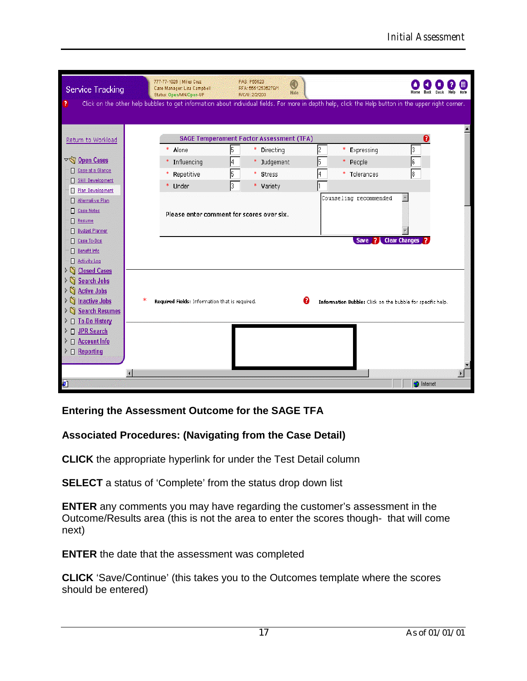| Service Tracking                              | 777-77-1026   Miles Cruz<br>Case Manager: Lisa Campbell<br>Status: Open/MN/Open-UP | PAS: P55623<br>J<br>RFA: 55512536279/1<br>Hide<br>R/C/U: 2/2/203 |                                                                                                                                                      |                      |
|-----------------------------------------------|------------------------------------------------------------------------------------|------------------------------------------------------------------|------------------------------------------------------------------------------------------------------------------------------------------------------|----------------------|
| - 7                                           |                                                                                    |                                                                  | Click on the other help bubbles to get information about individual fields. For more in depth help, click the Help button in the upper right corner. |                      |
|                                               |                                                                                    |                                                                  |                                                                                                                                                      |                      |
| Return to Workload                            |                                                                                    | <b>SAGE Temperament Factor Assessment (TFA)</b>                  |                                                                                                                                                      |                      |
|                                               | * Alone                                                                            | 15<br><b>Directing</b>                                           | 2<br>Expressing<br>*                                                                                                                                 |                      |
| ▽ Open Cases                                  | Influencing                                                                        | * Judgement                                                      | 5<br>People<br>*.                                                                                                                                    | 6                    |
| Case at a Glance<br>п                         | Repetitive                                                                         | *.<br><b>Stress</b>                                              | Tolerances<br>4<br>*.                                                                                                                                | 8                    |
| Skill Development                             | Under                                                                              | l3.<br>* variety                                                 |                                                                                                                                                      |                      |
| Plan Development<br>日.                        |                                                                                    |                                                                  | Counseling recommended                                                                                                                               |                      |
| Alternative Plan                              |                                                                                    |                                                                  |                                                                                                                                                      |                      |
| <b>El Case Notes</b>                          |                                                                                    | Please enter comment for scores over six.                        |                                                                                                                                                      |                      |
| П<br>Resume                                   |                                                                                    |                                                                  |                                                                                                                                                      |                      |
| <b>Budget Planner</b><br><b>D</b> Case To-Dos |                                                                                    |                                                                  | Save ?                                                                                                                                               | <b>Clear Changes</b> |
| Benefit Info                                  |                                                                                    |                                                                  |                                                                                                                                                      |                      |
| Activity Log                                  |                                                                                    |                                                                  |                                                                                                                                                      |                      |
| $\triangleright$ n<br><b>Closed Cases</b>     |                                                                                    |                                                                  |                                                                                                                                                      |                      |
| G<br><b>Search Jobs</b><br>$\triangleright$   |                                                                                    |                                                                  |                                                                                                                                                      |                      |
| G<br><b>Active Jobs</b><br>$\triangleright$   |                                                                                    |                                                                  |                                                                                                                                                      |                      |
| n<br>ж<br><b>Inactive Jobs</b>                | Required Fields: Information that is required.                                     | n                                                                | Information Bubble: Click on the bubble for specific help.                                                                                           |                      |
| <b>Search Resumes</b><br>n                    |                                                                                    |                                                                  |                                                                                                                                                      |                      |
| <b>To-Do History</b><br>$\Box$                |                                                                                    |                                                                  |                                                                                                                                                      |                      |
| <b>JPR Search</b><br>$\Box$                   |                                                                                    |                                                                  |                                                                                                                                                      |                      |
| $\Box$ Account Info                           |                                                                                    |                                                                  |                                                                                                                                                      |                      |
| $\triangleright$ $\Box$ Reporting             |                                                                                    |                                                                  |                                                                                                                                                      |                      |
|                                               |                                                                                    |                                                                  |                                                                                                                                                      |                      |
| Ø                                             |                                                                                    |                                                                  |                                                                                                                                                      | <b>C</b> Internet    |

**Entering the Assessment Outcome for the SAGE TFA**

# **Associated Procedures: (Navigating from the Case Detail)**

**CLICK** the appropriate hyperlink for under the Test Detail column

**SELECT** a status of 'Complete' from the status drop down list

**ENTER** any comments you may have regarding the customer's assessment in the Outcome/Results area (this is not the area to enter the scores though- that will come next)

**ENTER** the date that the assessment was completed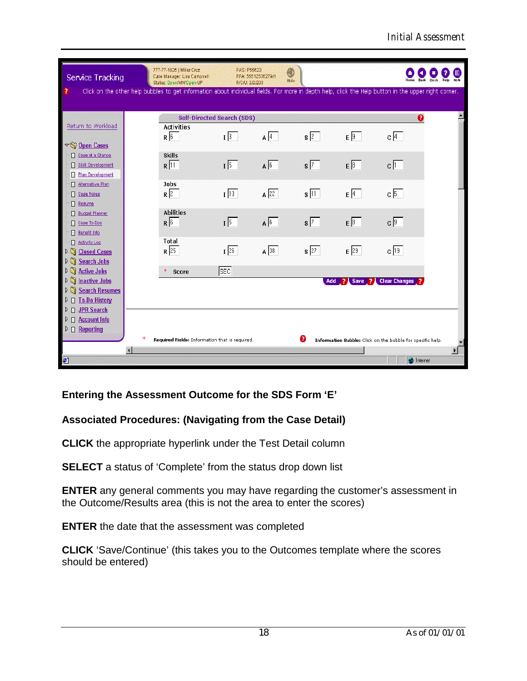| Service Tracking                                                                | 777-77-1026   Miles Cruz<br>Case Manager: Lisa Campbell<br>Status: Open/MN/Open-UP                                                                   | PAS: P55623<br>RFA: 55512536279/1<br>R/C/U: 2/2/203 | ◉<br>Hide         |              |                                                            | <b>Back</b>          | Help<br>Note<br>Desk |
|---------------------------------------------------------------------------------|------------------------------------------------------------------------------------------------------------------------------------------------------|-----------------------------------------------------|-------------------|--------------|------------------------------------------------------------|----------------------|----------------------|
| ?                                                                               | Click on the other help bubbles to get information about individual fields. For more in depth help, click the Help button in the upper right corner. |                                                     |                   |              |                                                            |                      |                      |
|                                                                                 |                                                                                                                                                      | Self-Directed Search (SDS)                          |                   |              |                                                            | ℯ                    |                      |
| Return to Workload                                                              | <b>Activities</b>                                                                                                                                    |                                                     |                   |              |                                                            |                      |                      |
| $\nabla \widehat{\mathbf{N}}$ Open Cases                                        | $R\sqrt{6}$                                                                                                                                          | $\sqrt{3}$                                          | $A$ <sup>4</sup>  | $s\sqrt{2}$  | $E\sqrt{9}$                                                | $c\sqrt{4}$          |                      |
| Case at a Glance<br>E                                                           | <b>Skills</b>                                                                                                                                        |                                                     |                   |              |                                                            |                      |                      |
| Skill Development<br>П<br>Plan Development                                      | $R$ <sup>11</sup>                                                                                                                                    | $1\sqrt{5}$                                         | $A \overline{6}$  | $s\sqrt{7}$  | $E\sqrt{8}$                                                | $c$ $\boxed{1}$      |                      |
| F<br>Alternative Plan<br>п                                                      | <b>Jobs</b>                                                                                                                                          |                                                     |                   |              |                                                            |                      |                      |
| <b>El Case Notes</b>                                                            | $R$ 2                                                                                                                                                | $1\sqrt{13}$                                        | $\overline{A}$ 22 | $s\sqrt{11}$ | $E\sqrt{4}$                                                | $c\sqrt{5}$          |                      |
| Π<br>Resume                                                                     | <b>Abilities</b>                                                                                                                                     |                                                     |                   |              |                                                            |                      |                      |
| <b>Budget Planner</b><br>Π<br>Case To-Dos                                       | $R\sqrt{6}$                                                                                                                                          | $1\sqrt{5}$                                         | $A\overline{6}$   | $s\sqrt{7}$  | $E\sqrt{8}$                                                | $c\sqrt{9}$          |                      |
| Benefit Info                                                                    |                                                                                                                                                      |                                                     |                   |              |                                                            |                      |                      |
| Activity Log<br>$\triangleright$<br><b>Closed Cases</b>                         | <b>Total</b><br>$R$ 25                                                                                                                               | $I$ 26                                              | $\mathsf{A}$ 38   | $s$ 27       | $E$ 29                                                     | c 19                 |                      |
| $\mathcal{N}$<br><b>Search Jobs</b>                                             |                                                                                                                                                      |                                                     |                   |              |                                                            |                      |                      |
| $\mathcal{D}(\mathcal{A})$<br><b>Active Jobs</b>                                | Score                                                                                                                                                | <b>SEC</b>                                          |                   |              |                                                            |                      |                      |
| $\mathcal{N}$<br><b>Inactive Jobs</b><br>$\mathcal{N}$<br><b>Search Resumes</b> |                                                                                                                                                      |                                                     |                   | Add          | <b>2</b> Save<br>- 21                                      | <b>Clear Changes</b> |                      |
| $\triangleright$ $\Box$ To-Do History                                           |                                                                                                                                                      |                                                     |                   |              |                                                            |                      |                      |
| <b>JPR Search</b><br>D.<br>$\Box$                                               |                                                                                                                                                      |                                                     |                   |              |                                                            |                      |                      |
| <b>Account Info</b><br>D.<br>$\Box$<br>$\triangleright$ $\sqcap$ Reporting      |                                                                                                                                                      |                                                     |                   |              |                                                            |                      |                      |
|                                                                                 | ж<br>Required Fields: Information that is required.                                                                                                  |                                                     |                   | Q            | Information Bubble: Click on the bubble for specific help. |                      |                      |
|                                                                                 | $\overline{\mathbf{A}}$                                                                                                                              |                                                     |                   |              |                                                            |                      | $\mathbf{F}$         |
| €                                                                               |                                                                                                                                                      |                                                     |                   |              |                                                            | <b>O</b> Internet    |                      |

### **Entering the Assessment Outcome for the SDS Form 'E'**

### **Associated Procedures: (Navigating from the Case Detail)**

**CLICK** the appropriate hyperlink under the Test Detail column

**SELECT** a status of 'Complete' from the status drop down list

**ENTER** any general comments you may have regarding the customer's assessment in the Outcome/Results area (this is not the area to enter the scores)

**ENTER** the date that the assessment was completed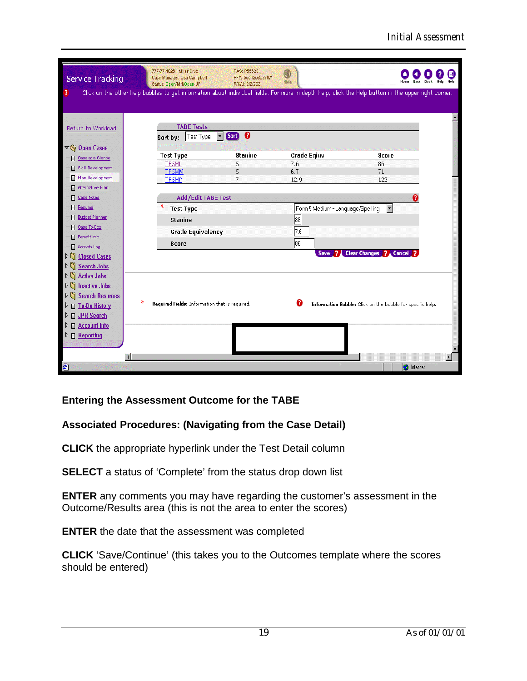| Service Tracking                                  | 777-77-1026   Miles Cruz<br>Case Manager: Lisa Campbell<br>Status: Open/MN/Open-UP                                                                   | PAS: P55623<br>RFA: 55512536279/1<br>R/C/U: 2/2/203 | C<br>Hide                         |                                                            |  |
|---------------------------------------------------|------------------------------------------------------------------------------------------------------------------------------------------------------|-----------------------------------------------------|-----------------------------------|------------------------------------------------------------|--|
| ?                                                 | Click on the other help bubbles to get information about individual fields. For more in depth help, click the Help button in the upper right corner. |                                                     |                                   |                                                            |  |
|                                                   |                                                                                                                                                      |                                                     |                                   |                                                            |  |
| Return to Workload                                | <b>TABE Tests</b><br>$\overline{\phantom{a}}$                                                                                                        | Song <sup>0</sup>                                   |                                   |                                                            |  |
|                                                   | Sort by: Test Type                                                                                                                                   |                                                     |                                   |                                                            |  |
| $\nabla$ Open Cases<br>Case at a Glance           | <b>Test Type</b>                                                                                                                                     | <b>Stanine</b>                                      | Grade Eqiuv                       | Score                                                      |  |
| Skill Development                                 | <b>TF5ML</b>                                                                                                                                         | 5                                                   | 7.6                               | 86                                                         |  |
| <b>Film Development</b>                           | <b>TF5MM</b>                                                                                                                                         | 5                                                   | 6.7                               | 71                                                         |  |
| Alternative Plan<br>Π                             | <b>TF5MR</b>                                                                                                                                         | 7                                                   | 12.9                              | 122                                                        |  |
| <b>Case Notes</b>                                 | Add/Edit TABE Test                                                                                                                                   |                                                     |                                   |                                                            |  |
| ▣<br>Resume                                       | <b>Test Type</b>                                                                                                                                     |                                                     | Form 5 Medium - Language/Spelling | $\vert \cdot \vert$                                        |  |
| <b>Budget Planner</b><br>Π                        |                                                                                                                                                      |                                                     |                                   |                                                            |  |
| <b>Case To-Dos</b>                                | <b>Stanine</b>                                                                                                                                       |                                                     | 86                                |                                                            |  |
| <b>Benefit Info</b>                               | <b>Grade Equivalency</b>                                                                                                                             |                                                     | 7.6                               |                                                            |  |
| Activity Log<br>Π                                 | Score                                                                                                                                                |                                                     | 86                                |                                                            |  |
| $\mathcal{D}(\mathcal{C})$<br><b>Closed Cases</b> |                                                                                                                                                      |                                                     |                                   | Save ? Clear Changes ? Cancel ?                            |  |
| <b>Search Jobs</b><br>D<br>G                      |                                                                                                                                                      |                                                     |                                   |                                                            |  |
| <b>Active Jobs</b><br>$\triangleright$<br>n       |                                                                                                                                                      |                                                     |                                   |                                                            |  |
| n<br><b>Inactive Jobs</b><br>D                    |                                                                                                                                                      |                                                     |                                   |                                                            |  |
| <b>Search Resumes</b><br>n<br>D.                  |                                                                                                                                                      |                                                     |                                   |                                                            |  |
| D To-Do History<br>D.                             | ж<br>Required Fields: Information that is required.                                                                                                  |                                                     | a                                 | Information Bubble: Click on the bubble for specific help. |  |
| ▷ □ JPR Search                                    |                                                                                                                                                      |                                                     |                                   |                                                            |  |
| Account Info<br>D.                                |                                                                                                                                                      |                                                     |                                   |                                                            |  |
| $\triangleright$ $\Box$ Reporting                 |                                                                                                                                                      |                                                     |                                   |                                                            |  |
|                                                   |                                                                                                                                                      |                                                     |                                   |                                                            |  |
|                                                   | F                                                                                                                                                    |                                                     |                                   |                                                            |  |
| €                                                 |                                                                                                                                                      |                                                     |                                   | <b>O</b> Internet                                          |  |

### **Entering the Assessment Outcome for the TABE**

### **Associated Procedures: (Navigating from the Case Detail)**

**CLICK** the appropriate hyperlink under the Test Detail column

**SELECT** a status of 'Complete' from the status drop down list

**ENTER** any comments you may have regarding the customer's assessment in the Outcome/Results area (this is not the area to enter the scores)

**ENTER** the date that the assessment was completed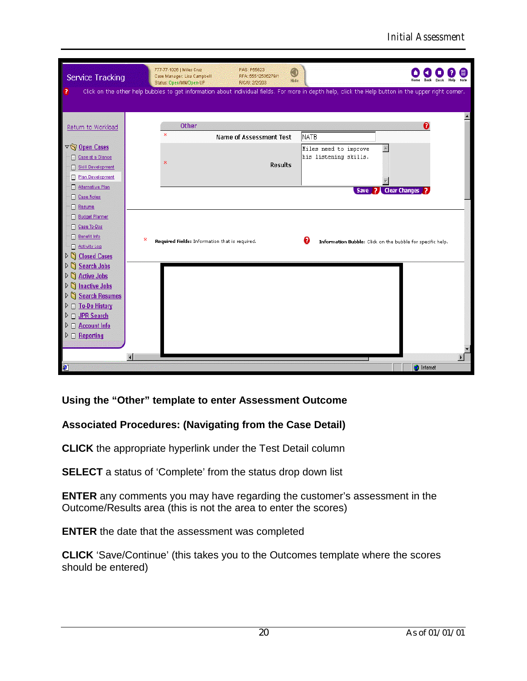| Service Tracking<br>?                                                                                  | 777-77-1026   Miles Cruz<br>PAS: P55623<br>O<br>Case Manager: Lisa Campbell<br>RFA: 55512536279/1<br>Hide<br>Status: Open/MN/Open-UP<br>R/C/U: 2/2/203<br>Click on the other help bubbles to get information about individual fields. For more in depth help, click the Help button in the upper right corner. | <b>Back</b><br>Help<br>Desk                                     |
|--------------------------------------------------------------------------------------------------------|----------------------------------------------------------------------------------------------------------------------------------------------------------------------------------------------------------------------------------------------------------------------------------------------------------------|-----------------------------------------------------------------|
| Return to Workload                                                                                     | Other<br>Ж                                                                                                                                                                                                                                                                                                     | Q                                                               |
| $\nabla \widehat{\mathbb{Q}}$ Open Cases<br>Case at a Glance<br>Skill Development                      | <b>Name of Assessment Test</b><br>ж<br><b>Results</b>                                                                                                                                                                                                                                                          | NATB<br>Miles need to improve<br>his listening skills.          |
| <b>Plan Development</b><br>E.<br>Alternative Plan<br>E<br><b>Case Notes</b><br>Ω<br>Resume             |                                                                                                                                                                                                                                                                                                                | Save ? Clear Changes                                            |
| <b>Budget Planner</b><br>Π<br>Case To-Dos<br>Benefit Info<br>п<br>Activity Log<br>D Closed Cases       | ж<br>Required Fields: Information that is required.                                                                                                                                                                                                                                                            | ø<br>Information Bubble: Click on the bubble for specific help. |
| <b>D</b> Search Jobs<br>▷ △ Active Jobs<br>ÞΠ<br><b>Inactive Jobs</b>                                  |                                                                                                                                                                                                                                                                                                                |                                                                 |
| <b>Search Resumes</b><br>$\frac{1}{2}$<br>▷ □ To-Do History<br>□ JPR Search<br>D.<br>Account Info<br>▷ |                                                                                                                                                                                                                                                                                                                |                                                                 |
| $\triangleright$ $\Box$ Reporting<br>C                                                                 |                                                                                                                                                                                                                                                                                                                | <b>O</b> Internet                                               |

**Using the "Other" template to enter Assessment Outcome**

### **Associated Procedures: (Navigating from the Case Detail)**

**CLICK** the appropriate hyperlink under the Test Detail column

**SELECT** a status of 'Complete' from the status drop down list

**ENTER** any comments you may have regarding the customer's assessment in the Outcome/Results area (this is not the area to enter the scores)

**ENTER** the date that the assessment was completed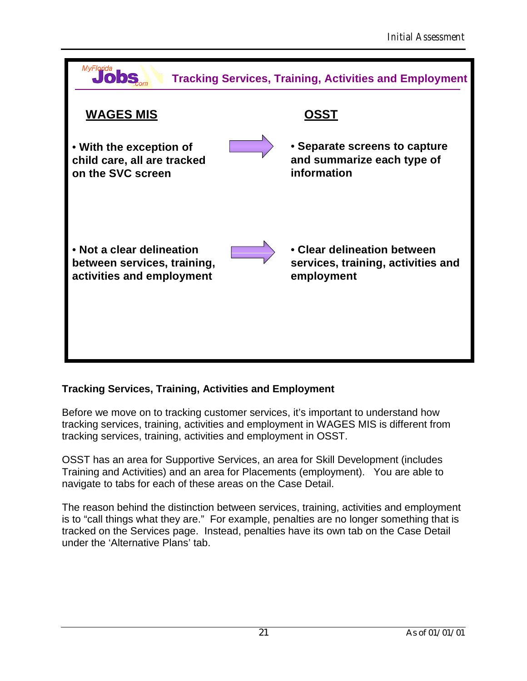| MyFlorida                                                                             | <b>Tracking Services, Training, Activities and Employment</b>                   |
|---------------------------------------------------------------------------------------|---------------------------------------------------------------------------------|
| <b>WAGES MIS</b>                                                                      | OSST                                                                            |
| • With the exception of<br>child care, all are tracked<br>on the SVC screen           | • Separate screens to capture<br>and summarize each type of<br>information      |
| • Not a clear delineation<br>between services, training,<br>activities and employment | • Clear delineation between<br>services, training, activities and<br>employment |

### **Tracking Services, Training, Activities and Employment**

Before we move on to tracking customer services, it's important to understand how tracking services, training, activities and employment in WAGES MIS is different from tracking services, training, activities and employment in OSST.

OSST has an area for Supportive Services, an area for Skill Development (includes Training and Activities) and an area for Placements (employment). You are able to navigate to tabs for each of these areas on the Case Detail.

The reason behind the distinction between services, training, activities and employment is to "call things what they are." For example, penalties are no longer something that is tracked on the Services page. Instead, penalties have its own tab on the Case Detail under the 'Alternative Plans' tab.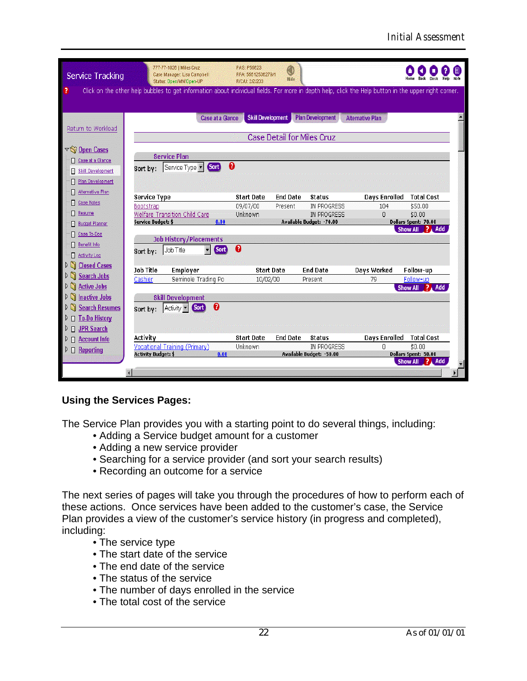| <b>Service Tracking</b>                                                                   | 777-77-1026   Miles Cruz<br>Case Manager: Lisa Campbell<br>Status: Open/MN/Open-UP                                                                   | PAS: P55623<br>RFA: 55512536279/1<br>R/C/U: 2/2/203 | 0<br>Hide       |                                                                  |                           |                                                                       |  |  |  |
|-------------------------------------------------------------------------------------------|------------------------------------------------------------------------------------------------------------------------------------------------------|-----------------------------------------------------|-----------------|------------------------------------------------------------------|---------------------------|-----------------------------------------------------------------------|--|--|--|
| ?                                                                                         | Click on the other help bubbles to get information about individual fields. For more in depth help, click the Help button in the upper right corner. |                                                     |                 |                                                                  |                           |                                                                       |  |  |  |
| Return to Workload                                                                        | <b>Plan Development</b><br><b>Case at a Glance</b><br><b>Skill Development</b><br><b>Alternative Plan</b><br><b>Case Detail for Miles Cruz</b>       |                                                     |                 |                                                                  |                           |                                                                       |  |  |  |
| $\nabla \setminus \Omega$ Open Cases<br>Case at a Glance<br><b>Skill Development</b><br>⊓ | <b>Service Plan</b><br>❸<br><b>Sort</b><br>Service Type  <br>Sort by:                                                                                |                                                     |                 |                                                                  |                           |                                                                       |  |  |  |
| Plan Development<br>Alternative Plan<br>E<br><b>Case Notes</b>                            | <b>Service Type</b>                                                                                                                                  | <b>Start Date</b>                                   | <b>End Date</b> | <b>Status</b>                                                    | <b>Days Enrolled</b>      | <b>Total Cost</b>                                                     |  |  |  |
| Resume<br><b>Budget Planner</b><br>Case To-Dos                                            | Bootstrap<br>Welfare Transition Child Care<br>Service Budget: \$<br>0.00                                                                             | 09/07/00<br>Unknown                                 | Present         | IN PROGRESS<br>IN PROGRESS<br>Available Budget: - 70.00          | 104<br>0                  | \$50.00<br>\$0.00<br>Dollars Spent: 70.00<br>Show All ? Add           |  |  |  |
| Benefit Info<br>Π<br><b>Activity Log</b><br>F.                                            | <b>Job History/Placements</b><br>Sort<br>Job Title<br>Sort by:                                                                                       | 0                                                   |                 |                                                                  |                           |                                                                       |  |  |  |
| ۱ñ<br><b>Closed Cases</b><br><b>Search Jobs</b><br><b>Active Jobs</b><br>ÞΠ               | <b>Job Title</b><br>Employer<br>Seminole Trading Po<br>Cashier                                                                                       | <b>Start Date</b><br>10/02/00                       |                 | <b>End Date</b><br>Present                                       | Days Worked<br>79         | Follow-up<br>Follow-up<br>Show All ? Add                              |  |  |  |
| <b>Inactive Jobs</b><br>$\mathcal{N}$<br>Search Resumes<br><b>To-Do History</b><br>П.     | <b>Skill Development</b><br>0<br>Activity  <br><b>Sort</b><br>Sort by:                                                                               |                                                     |                 |                                                                  |                           |                                                                       |  |  |  |
| <b>D</b> JPR Search<br>D.<br>$\Box$ Account Info<br><b>E</b> Reporting<br>▷               | Activity<br>Vocational Training (Primary)<br><b>Activity Budget: \$</b><br>0.00                                                                      | <b>Start Date</b><br>Unknown                        | <b>End Date</b> | <b>Status</b><br><b>IN PROGRESS</b><br>Available Budget: - 50.00 | <b>Days Enrolled</b><br>n | <b>Total Cost</b><br>\$0.00<br>Dollars Spent: 50.00<br>Show All ? Add |  |  |  |
|                                                                                           | €                                                                                                                                                    |                                                     |                 |                                                                  |                           |                                                                       |  |  |  |

### **Using the Services Pages:**

The Service Plan provides you with a starting point to do several things, including:

- •Adding a Service budget amount for a customer
- •Adding a new service provider
- •Searching for a service provider (and sort your search results)
- •Recording an outcome for a service

The next series of pages will take you through the procedures of how to perform each of these actions. Once services have been added to the customer's case, the Service Plan provides a view of the customer's service history (in progress and completed), including:

- The service type
- •The start date of the service
- •The end date of the service
- •The status of the service
- •The number of days enrolled in the service
- •The total cost of the service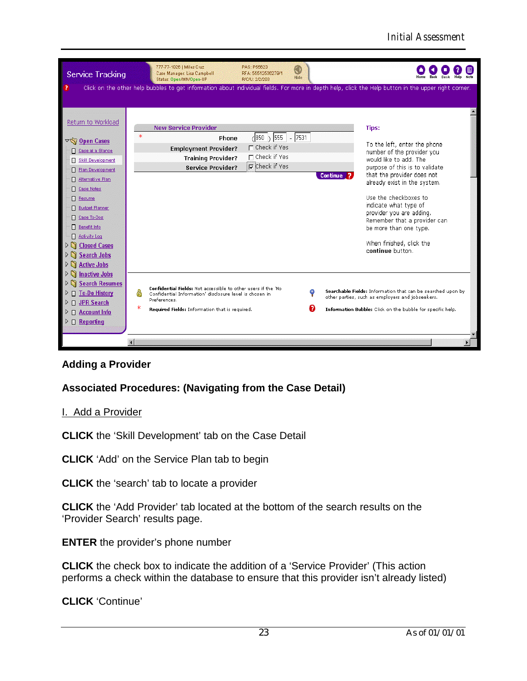

### **Adding a Provider**

### **Associated Procedures: (Navigating from the Case Detail)**

#### I. Add a Provider

**CLICK** the 'Skill Development' tab on the Case Detail

**CLICK** 'Add' on the Service Plan tab to begin

**CLICK** the 'search' tab to locate a provider

**CLICK** the 'Add Provider' tab located at the bottom of the search results on the 'Provider Search' results page.

**ENTER** the provider's phone number

**CLICK** the check box to indicate the addition of a 'Service Provider' (This action performs a check within the database to ensure that this provider isn't already listed)

**CLICK** 'Continue'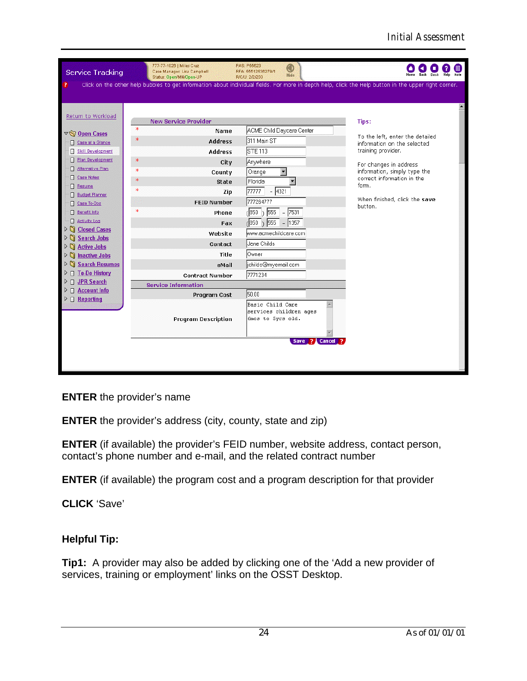| <b>Service Tracking</b>                                                                                                                                                                                                                                                                                                                                                                                                                         | 777-77-1026   Miles Cruz<br>Case Manager: Lisa Campbell<br>Status: Open/MN/Open-UP                                                                                                                                                                                                                                                         | PAS: P55623<br>◉<br>RFA: 55512536279/1<br>Hide<br>R/C/U: 2/2/203                                                                                                                                                                                                                                                                                                       |                                                                                                                                                                                                                                            |
|-------------------------------------------------------------------------------------------------------------------------------------------------------------------------------------------------------------------------------------------------------------------------------------------------------------------------------------------------------------------------------------------------------------------------------------------------|--------------------------------------------------------------------------------------------------------------------------------------------------------------------------------------------------------------------------------------------------------------------------------------------------------------------------------------------|------------------------------------------------------------------------------------------------------------------------------------------------------------------------------------------------------------------------------------------------------------------------------------------------------------------------------------------------------------------------|--------------------------------------------------------------------------------------------------------------------------------------------------------------------------------------------------------------------------------------------|
|                                                                                                                                                                                                                                                                                                                                                                                                                                                 | Click on the other help bubbles to get information about individual fields. For more in depth help, click the Help button in the upper right corner.                                                                                                                                                                                       |                                                                                                                                                                                                                                                                                                                                                                        |                                                                                                                                                                                                                                            |
| Return to Workload<br>▽ Open Cases<br>Case at a Glance<br>Skill Development<br><b>Plan Development</b><br>Alternative Plan<br>Case Notes<br>Resume<br><b>Budget Planner</b><br>Case To-Dos<br>Benefit Info<br>Activity Log<br>G<br><b>Closed Cases</b><br><b>Search Jobs</b><br>G<br><b>Active Jobs</b><br>g<br><b>Inactive Jobs</b><br>g<br><b>Search Resumes</b><br>□ To-Do History<br>▷ □ JPR Search<br>□ Account Info<br>$D \Box$ Reporting | <b>New Service Provider</b><br>$\ast$<br>Name<br>$\ast$<br><b>Address</b><br>Address<br>ж<br>City<br>ж<br>County<br>ж<br><b>State</b><br>Ж<br>Zip<br><b>FEID Number</b><br>Ж<br>Phone<br>Fax<br>Website<br>Contact<br>Title<br>eMail<br><b>Contract Number</b><br><b>Service Information</b><br>Program Cost<br><b>Program Description</b> | <b>ACME</b> Child Daycare Center<br>311 Main ST<br><b>STE 113</b><br>Anywhere<br>Orange<br>Florida<br>$- 4321$<br>77777<br>777264777<br>$-7531$<br>$(850 \t)$ 555<br>$-1357$<br>7850 \ 555<br>www.acmechildcare.com<br>Uane Childs<br><b>Owner</b><br>ichilds@myemail.com<br>7771234<br>50.00<br>Basic Child Care<br>A.<br>services children ages<br>6mos to 5yrs old. | Tips:<br>To the left, enter the detailed<br>information on the selected<br>training provider.<br>For changes in address<br>information, simply type the<br>correct information in the<br>form.<br>When finished, click the save<br>button. |
|                                                                                                                                                                                                                                                                                                                                                                                                                                                 |                                                                                                                                                                                                                                                                                                                                            |                                                                                                                                                                                                                                                                                                                                                                        |                                                                                                                                                                                                                                            |
|                                                                                                                                                                                                                                                                                                                                                                                                                                                 |                                                                                                                                                                                                                                                                                                                                            | Save ? Cancel ?                                                                                                                                                                                                                                                                                                                                                        |                                                                                                                                                                                                                                            |
|                                                                                                                                                                                                                                                                                                                                                                                                                                                 |                                                                                                                                                                                                                                                                                                                                            |                                                                                                                                                                                                                                                                                                                                                                        |                                                                                                                                                                                                                                            |

### **ENTER** the provider's name

**ENTER** the provider's address (city, county, state and zip)

**ENTER** (if available) the provider's FEID number, website address, contact person, contact's phone number and e-mail, and the related contract number

**ENTER** (if available) the program cost and a program description for that provider

**CLICK** 'Save'

### **Helpful Tip:**

**Tip1:** A provider may also be added by clicking one of the 'Add a new provider of services, training or employment' links on the OSST Desktop.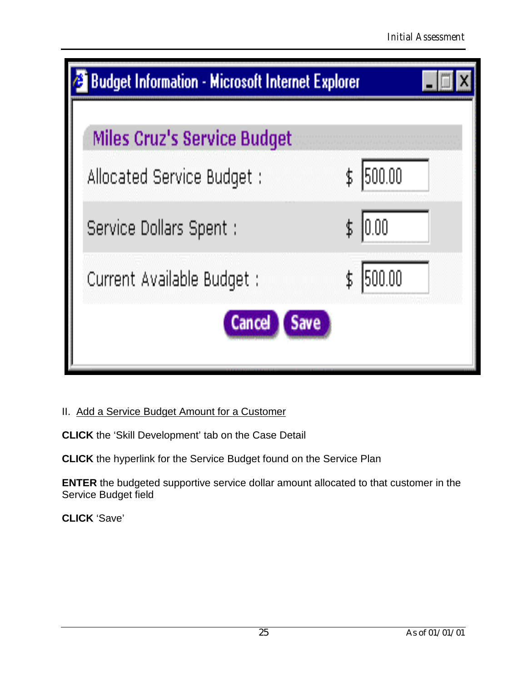| <b>Budget Information - Microsoft Internet Explorer</b>          |              |  |
|------------------------------------------------------------------|--------------|--|
| <b>Miles Cruz's Service Budget</b><br>Allocated Service Budget : | 500.00<br>\$ |  |
| Service Dollars Spent :                                          | 10.00        |  |
| Current Available Budget :<br><b>Save</b>                        | 500.00<br>\$ |  |
|                                                                  |              |  |

### II. Add a Service Budget Amount for a Customer

**CLICK** the 'Skill Development' tab on the Case Detail

**CLICK** the hyperlink for the Service Budget found on the Service Plan

**ENTER** the budgeted supportive service dollar amount allocated to that customer in the Service Budget field

**CLICK** 'Save'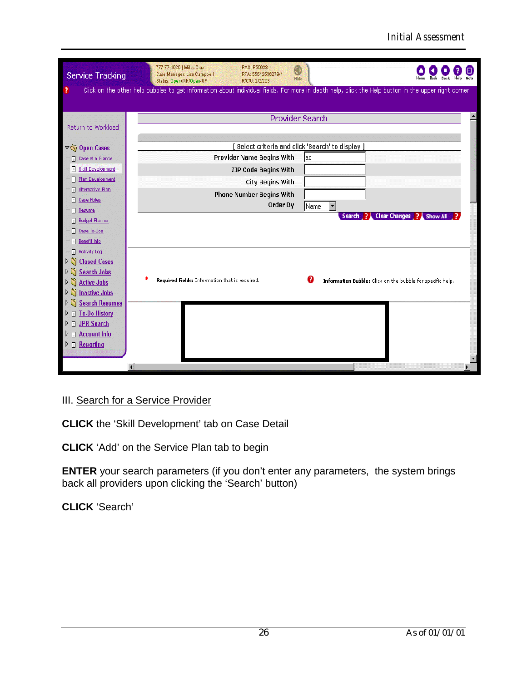| Service Tracking<br>7                                            | 777-77-1026   Miles Cruz<br>PAS: P55623<br>0<br>Case Manager: Lisa Campbell<br>RFA: 55512536279/1<br>Hide<br>Status: Open/MN/Open-UP<br>R/C/U: 2/2/203<br>Click on the other help bubbles to get information about individual fields. For more in depth help, click the Help button in the upper right corner. |  |
|------------------------------------------------------------------|----------------------------------------------------------------------------------------------------------------------------------------------------------------------------------------------------------------------------------------------------------------------------------------------------------------|--|
| Return to Workload                                               | <b>Provider Search</b>                                                                                                                                                                                                                                                                                         |  |
| $\nabla \bigotimes$ Open Cases                                   | Select criteria and click 'Search' to display ]                                                                                                                                                                                                                                                                |  |
| Case at a Glance                                                 | <b>Provider Name Begins With</b><br> ac                                                                                                                                                                                                                                                                        |  |
| Skill Development<br>⊓                                           | <b>ZIP Code Begins With</b>                                                                                                                                                                                                                                                                                    |  |
| Plan Development                                                 | <b>City Begins With</b>                                                                                                                                                                                                                                                                                        |  |
| Alternative Plan<br>E                                            | <b>Phone Number Begins With</b>                                                                                                                                                                                                                                                                                |  |
| <b>Case Notes</b><br>Π                                           | Order By<br>$\overline{\phantom{a}}$<br>Name                                                                                                                                                                                                                                                                   |  |
| Π<br>Resume                                                      | ? Clear Changes ? Show All<br><b>Search</b>                                                                                                                                                                                                                                                                    |  |
| <b>Budget Planner</b>                                            |                                                                                                                                                                                                                                                                                                                |  |
| Case To-Dos                                                      |                                                                                                                                                                                                                                                                                                                |  |
| Benefit Info<br>п                                                |                                                                                                                                                                                                                                                                                                                |  |
| <b>Activity Log</b><br>⊓<br>$\mathcal{N}$<br><b>Closed Cases</b> |                                                                                                                                                                                                                                                                                                                |  |
| ÞΠ<br><b>Search Jobs</b>                                         |                                                                                                                                                                                                                                                                                                                |  |
| <b>Active Jobs</b><br>ÞΠ                                         | ж<br>7<br>Required Fields: Information that is required.<br>Information Bubble: Click on the bubble for specific help.                                                                                                                                                                                         |  |
| <b>Inactive Jobs</b><br>$\frac{1}{2}$                            |                                                                                                                                                                                                                                                                                                                |  |
| <b>Search Resumes</b><br>ÞΠ                                      |                                                                                                                                                                                                                                                                                                                |  |
| $\triangleright$ $\Box$ To-Do History                            |                                                                                                                                                                                                                                                                                                                |  |
| <b>JPR Search</b><br>▷<br>$\Box$                                 |                                                                                                                                                                                                                                                                                                                |  |
| <b>Account Info</b><br>▷<br>$\Box$                               |                                                                                                                                                                                                                                                                                                                |  |
| $D \Box$ Reporting                                               |                                                                                                                                                                                                                                                                                                                |  |
|                                                                  |                                                                                                                                                                                                                                                                                                                |  |
|                                                                  |                                                                                                                                                                                                                                                                                                                |  |

### III. Search for a Service Provider

**CLICK** the 'Skill Development' tab on Case Detail

**CLICK** 'Add' on the Service Plan tab to begin

**ENTER** your search parameters (if you don't enter any parameters, the system brings back all providers upon clicking the 'Search' button)

**CLICK** 'Search'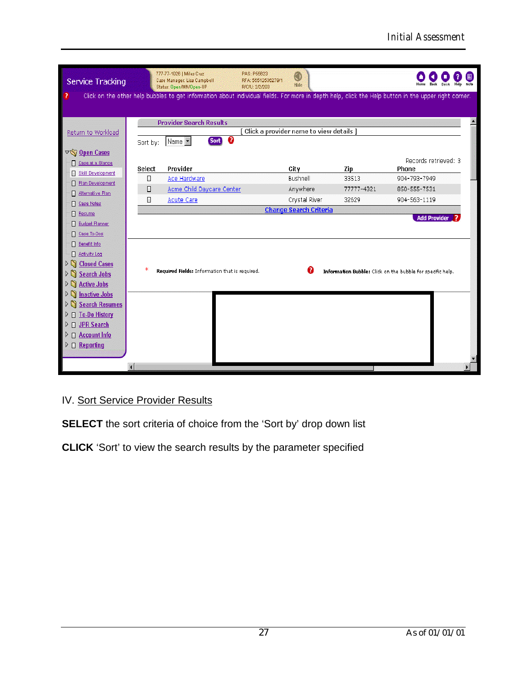| Service Tracking                                                                                                                                                                                                                          | 777-77-1026   Miles Cruz<br>PAS: P55623<br>Case Manager: Lisa Campbell<br>Status: Open/MN/Open-UP<br>R/C/U: 2/2/203                                  | ◉<br>RFA: 55512536279/1<br>Hide         |                              |                                              |  |  |
|-------------------------------------------------------------------------------------------------------------------------------------------------------------------------------------------------------------------------------------------|------------------------------------------------------------------------------------------------------------------------------------------------------|-----------------------------------------|------------------------------|----------------------------------------------|--|--|
| 2                                                                                                                                                                                                                                         | Click on the other help bubbles to get information about individual fields. For more in depth help, click the Help button in the upper right corner. |                                         |                              |                                              |  |  |
| Return to Workload                                                                                                                                                                                                                        | <b>Provider Search Results</b><br>❸<br><b>Sort</b><br>Name <b>v</b><br>Sort by:                                                                      | Click a provider name to view details ] |                              |                                              |  |  |
| $\nabla$ Open Cases<br>Case at a Glance                                                                                                                                                                                                   | Provider<br>Select                                                                                                                                   | City                                    | Zip                          | Records retrieved: 3<br>Phone                |  |  |
| <b>Skill Development</b><br>Π<br>Plan Development<br>Alternative Plan                                                                                                                                                                     | E<br>Ace Hardware<br>Acme Child Daycare Center<br>▣<br>Ε<br><b>Acute Care</b>                                                                        | Bushnell<br>Anywhere<br>Crystal River   | 33513<br>77777-4321<br>32629 | 904-793-7949<br>850-555-7531<br>904-563-1119 |  |  |
| <b>Case Notes</b><br>⊓<br>Resume<br><b>Budget Planner</b>                                                                                                                                                                                 |                                                                                                                                                      | <b>Change Search Criteria</b>           |                              | <b>Add Provider</b>                          |  |  |
| Case To-Dos<br>Benefit Info<br>Π.<br><b>Activity Log</b><br>⊓<br>$\frac{1}{2}$<br><b>Closed Cases</b><br>$\mathcal{V}(\mathbb{Z})$<br><b>Search Jobs</b><br><b>Active Jobs</b><br>$\mathbb{Z} \setminus \mathbb{C}$                       | ж<br>7<br>Required Fields: Information that is required.<br>Information Bubble: Click on the bubble for specific help.                               |                                         |                              |                                              |  |  |
| $\frac{1}{2}$<br><b>Inactive Jobs</b><br>$\mathbb{C} \setminus \mathbb{C}$<br><b>Search Resumes</b><br>$\triangleright$ $\Box$ To-Do History<br>D IPR Search<br>$\triangleright$ $\Box$ Account Info<br>$\triangleright$ $\Box$ Reporting |                                                                                                                                                      |                                         |                              |                                              |  |  |

# IV. Sort Service Provider Results

**SELECT** the sort criteria of choice from the 'Sort by' drop down list

**CLICK** 'Sort' to view the search results by the parameter specified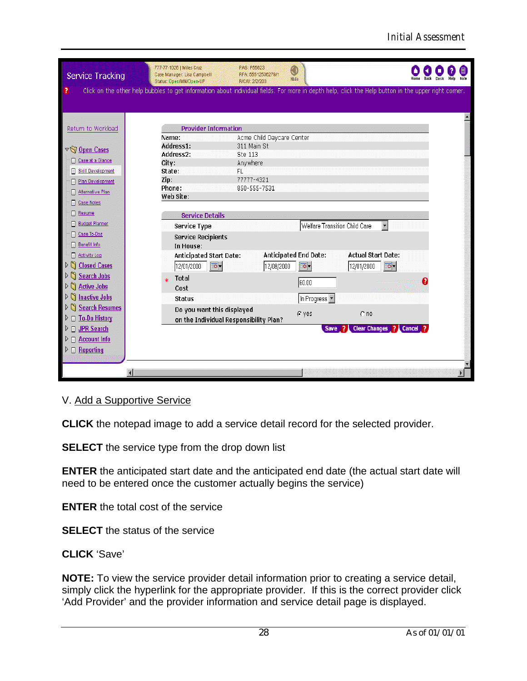| Service Tracking                                  | 777-77-1026   Miles Cruz<br>Case Manager: Lisa Campbell<br>Status: Open/MN/Open-UP                                                                   | PAS: P55623<br>RFA: 55512536279/1<br>R/C/U: 2/2/203 | q<br>Hide                     |                                | <b>Note</b><br>Help<br><b>Back</b><br>Desk |
|---------------------------------------------------|------------------------------------------------------------------------------------------------------------------------------------------------------|-----------------------------------------------------|-------------------------------|--------------------------------|--------------------------------------------|
| ?                                                 | Click on the other help bubbles to get information about individual fields. For more in depth help, click the Help button in the upper right corner. |                                                     |                               |                                |                                            |
|                                                   |                                                                                                                                                      |                                                     |                               |                                |                                            |
| Return to Workload                                | <b>Provider Information</b>                                                                                                                          |                                                     |                               |                                |                                            |
|                                                   | Name:                                                                                                                                                | Acme Child Daycare Center                           |                               |                                |                                            |
|                                                   | Address1:                                                                                                                                            | 311 Main St                                         |                               |                                |                                            |
| $\nabla \left( \nabla \right)$ Open Cases         | Address2:                                                                                                                                            | Ste 113                                             |                               |                                |                                            |
| Case at a Glance<br>Π.                            | City:                                                                                                                                                | Anywhere                                            |                               |                                |                                            |
| Skill Development                                 | State:                                                                                                                                               | FL                                                  |                               |                                |                                            |
| Plan Development                                  | Zip:                                                                                                                                                 | 77777-4321                                          |                               |                                |                                            |
| Alternative Plan                                  | Phone:                                                                                                                                               | 850-555-7531                                        |                               |                                |                                            |
| <b>Case Notes</b>                                 | Web Site:                                                                                                                                            |                                                     |                               |                                |                                            |
| ⊟<br>Resume                                       |                                                                                                                                                      |                                                     |                               |                                |                                            |
| <b>Budget Planner</b>                             | <b>Service Details</b>                                                                                                                               |                                                     |                               |                                |                                            |
|                                                   | <b>Service Type</b>                                                                                                                                  |                                                     | Welfare Transition Child Care | $\overline{\phantom{a}}$       |                                            |
| Case To-Dos<br>Π                                  | <b>Service Recipients</b>                                                                                                                            |                                                     |                               |                                |                                            |
| Benefit Info                                      | In House:                                                                                                                                            |                                                     |                               |                                |                                            |
| П.<br>Activity Log                                | <b>Anticipated Start Date:</b>                                                                                                                       |                                                     | Anticipated End Date:         | <b>Actual Start Date:</b>      |                                            |
| $\mathbb{N}$<br><b>Closed Cases</b>               | 12/01/2000<br>$\overline{\bullet}$ .                                                                                                                 | 12/08/2000                                          | ত-                            | ত-<br>12/01/2000               |                                            |
| <b>Search Jobs</b><br>ÞΠ                          | <b>Total</b>                                                                                                                                         |                                                     |                               |                                |                                            |
| <b>Active Jobs</b><br>Þη                          | Cost                                                                                                                                                 |                                                     | 60.00                         |                                |                                            |
| $\mathcal{V}(\mathbb{Z})$<br><b>Inactive Jobs</b> | <b>Status</b>                                                                                                                                        |                                                     | In Progress •                 |                                |                                            |
| <b>Search Resumes</b>                             |                                                                                                                                                      |                                                     |                               |                                |                                            |
| <b>To-Do History</b><br>DЕ                        | Do you want this displayed                                                                                                                           |                                                     | G yes                         | $C$ no                         |                                            |
|                                                   |                                                                                                                                                      | on the Individual Responsibility Plan?              |                               |                                |                                            |
| D IPR Search                                      |                                                                                                                                                      |                                                     | Save                          | Clear Changes ? Cancel ?<br>P. |                                            |
| <b>Account Info</b><br>$\Box$<br>▷                |                                                                                                                                                      |                                                     |                               |                                |                                            |
| $D \Box$ Reporting                                |                                                                                                                                                      |                                                     |                               |                                |                                            |
|                                                   |                                                                                                                                                      |                                                     |                               |                                |                                            |
|                                                   |                                                                                                                                                      |                                                     |                               |                                |                                            |

### V. Add a Supportive Service

**CLICK** the notepad image to add a service detail record for the selected provider.

**SELECT** the service type from the drop down list

**ENTER** the anticipated start date and the anticipated end date (the actual start date will need to be entered once the customer actually begins the service)

**ENTER** the total cost of the service

**SELECT** the status of the service

#### **CLICK** 'Save'

**NOTE:** To view the service provider detail information prior to creating a service detail, simply click the hyperlink for the appropriate provider. If this is the correct provider click 'Add Provider' and the provider information and service detail page is displayed.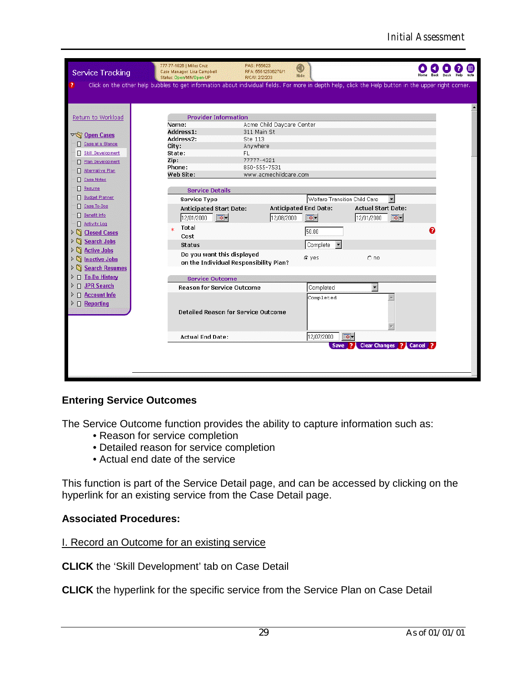| Service Tracking                               | 777-77-1026   Miles Cruz<br>Case Manager: Lisa Campbell<br>Status: Open/MN/Open-UP                                                                   | PAS: P55623<br>RFA: 55512536279/1<br>R/C/U: 2/2/203 | ◉<br>Hide                        |                           |                        |  |
|------------------------------------------------|------------------------------------------------------------------------------------------------------------------------------------------------------|-----------------------------------------------------|----------------------------------|---------------------------|------------------------|--|
| 2                                              | Click on the other help bubbles to get information about individual fields. For more in depth help, click the Help button in the upper right corner. |                                                     |                                  |                           |                        |  |
|                                                |                                                                                                                                                      |                                                     |                                  |                           |                        |  |
| Return to Workload                             | <b>Provider Information</b>                                                                                                                          |                                                     |                                  |                           |                        |  |
|                                                | Name:                                                                                                                                                | Acme Child Daycare Center                           |                                  |                           |                        |  |
| $\nabla \bigotimes$ Open Cases                 | Address1:                                                                                                                                            | 311 Main St                                         |                                  |                           |                        |  |
| Case at a Glance                               | Address2:                                                                                                                                            | Ste 113                                             |                                  |                           |                        |  |
|                                                | City:                                                                                                                                                | Anywhere                                            |                                  |                           |                        |  |
| Skill Development                              | State:                                                                                                                                               | FL.                                                 |                                  |                           |                        |  |
| Plan Development                               | Zip:<br>Phone:                                                                                                                                       | 77777-4321<br>850-555-7531                          |                                  |                           |                        |  |
| Alternative Plan                               | Web Site:                                                                                                                                            | www.acmechildcare.com                               |                                  |                           |                        |  |
| <b>Case Notes</b>                              |                                                                                                                                                      |                                                     |                                  |                           |                        |  |
| Resume                                         | <b>Service Details</b>                                                                                                                               |                                                     |                                  |                           |                        |  |
| <b>Budget Planner</b>                          |                                                                                                                                                      |                                                     |                                  |                           |                        |  |
| Case To-Dos                                    | <b>Service Type</b>                                                                                                                                  |                                                     | Welfare Transition Child Care    |                           | $\blacktriangledown$   |  |
|                                                | Anticipated Start Date:                                                                                                                              |                                                     | Anticipated End Date:            | <b>Actual Start Date:</b> |                        |  |
| Benefit Info                                   | 12/01/2000<br>$\boxed{\circ}$                                                                                                                        |                                                     | ত-<br>12/08/2000                 | 12/01/2000                | $\overline{\circ}$     |  |
| Activity Log                                   | <b>Total</b><br>ж                                                                                                                                    |                                                     |                                  |                           |                        |  |
| Closed Cases<br>$\triangleright$               | Cost                                                                                                                                                 |                                                     | 50.00                            |                           |                        |  |
| Search Jobs<br>$\triangleright$                |                                                                                                                                                      |                                                     |                                  |                           |                        |  |
| Active Jobs<br>$\triangleright$                | <b>Status</b>                                                                                                                                        |                                                     | Complete<br>$\blacktriangledown$ |                           |                        |  |
| <b>Inactive Jobs</b><br>n<br>D                 | Do you want this displayed                                                                                                                           |                                                     | G yes                            | $C$ no                    |                        |  |
|                                                |                                                                                                                                                      | on the Individual Responsibility Plan?              |                                  |                           |                        |  |
| <b>Search Resumes</b><br>n<br>$\triangleright$ |                                                                                                                                                      |                                                     |                                  |                           |                        |  |
| □ To-Do History<br>$\triangleright$            | <b>Service Outcome</b>                                                                                                                               |                                                     |                                  |                           |                        |  |
| □ JPR Search<br>$\triangleright$               | <b>Reason for Service Outcome</b>                                                                                                                    |                                                     | Completed                        | $\blacksquare$            |                        |  |
| Account Info<br>D                              |                                                                                                                                                      |                                                     | Completed                        |                           |                        |  |
| $\triangleright$ $\Box$ Reporting              |                                                                                                                                                      |                                                     |                                  |                           |                        |  |
|                                                |                                                                                                                                                      | <b>Detailed Reason for Service Outcome</b>          |                                  |                           |                        |  |
|                                                |                                                                                                                                                      |                                                     |                                  |                           |                        |  |
|                                                |                                                                                                                                                      |                                                     |                                  |                           |                        |  |
|                                                |                                                                                                                                                      |                                                     |                                  |                           |                        |  |
|                                                | <b>Actual End Date:</b>                                                                                                                              |                                                     | 12/07/2000                       | ত-                        |                        |  |
|                                                |                                                                                                                                                      |                                                     |                                  | Save ?                    | Clear Changes ? Cancel |  |
|                                                |                                                                                                                                                      |                                                     |                                  |                           |                        |  |
|                                                |                                                                                                                                                      |                                                     |                                  |                           |                        |  |
|                                                |                                                                                                                                                      |                                                     |                                  |                           |                        |  |
|                                                |                                                                                                                                                      |                                                     |                                  |                           |                        |  |

### **Entering Service Outcomes**

The Service Outcome function provides the ability to capture information such as:

- •Reason for service completion
- •Detailed reason for service completion
- •Actual end date of the service

This function is part of the Service Detail page, and can be accessed by clicking on the hyperlink for an existing service from the Case Detail page.

#### **Associated Procedures:**

#### I. Record an Outcome for an existing service

**CLICK** the 'Skill Development' tab on Case Detail

**CLICK** the hyperlink for the specific service from the Service Plan on Case Detail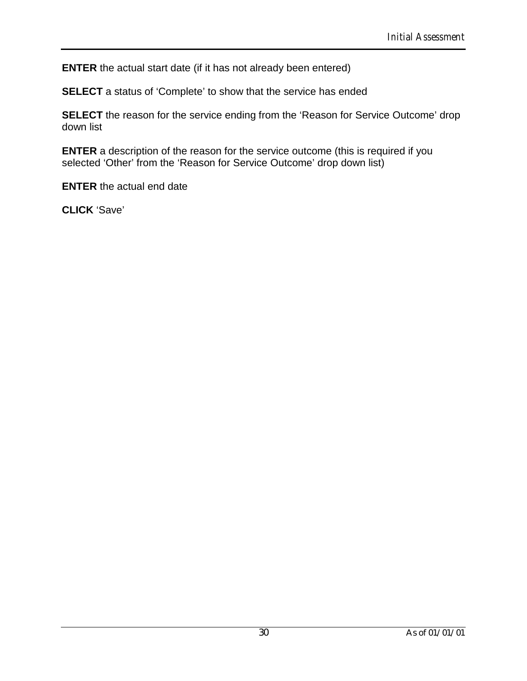**ENTER** the actual start date (if it has not already been entered)

**SELECT** a status of 'Complete' to show that the service has ended

**SELECT** the reason for the service ending from the 'Reason for Service Outcome' drop down list

**ENTER** a description of the reason for the service outcome (this is required if you selected 'Other' from the 'Reason for Service Outcome' drop down list)

**ENTER** the actual end date

**CLICK** 'Save'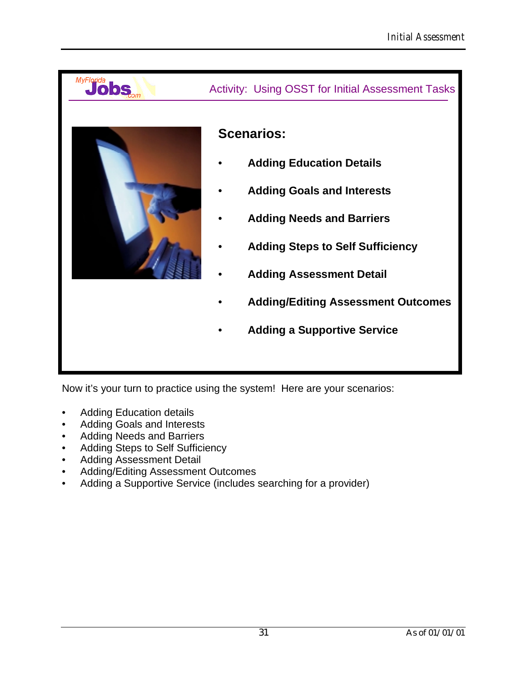

MyFlorida<br>Jobs

# Activity: Using OSST for Initial Assessment Tasks

# **Scenarios:**

- **Adding Education Details**
- **Adding Goals and Interests**
- **Adding Needs and Barriers**
- **Adding Steps to Self Sufficiency**
- **Adding Assessment Detail**
- **Adding/Editing Assessment Outcomes**
- **Adding a Supportive Service**

Now it's your turn to practice using the system! Here are your scenarios:

- Adding Education details
- Adding Goals and Interests
- Adding Needs and Barriers
- Adding Steps to Self Sufficiency
- Adding Assessment Detail
- Adding/Editing Assessment Outcomes
- Adding a Supportive Service (includes searching for a provider)